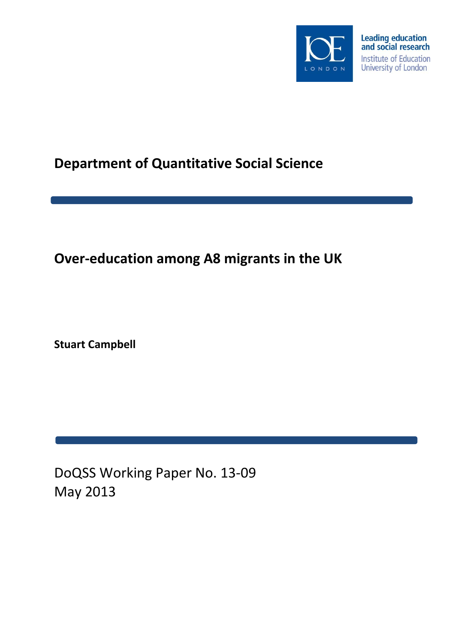

# **Department of Quantitative Social Science**

# **Over-education among A8 migrants in the UK**

**Stuart Campbell**

DoQSS Working Paper No. 13-09 May 2013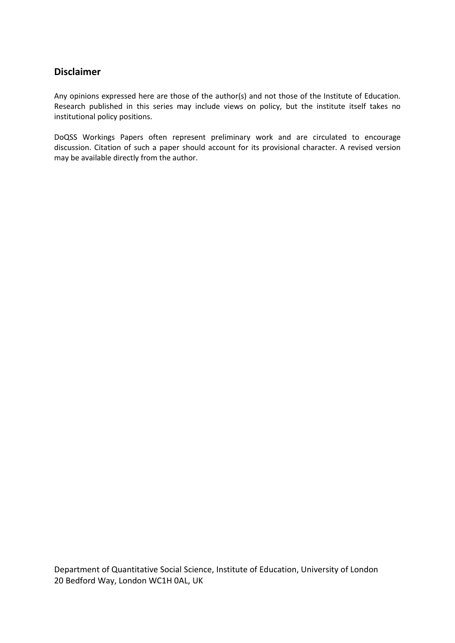## **Disclaimer**

Any opinions expressed here are those of the author(s) and not those of the Institute of Education. Research published in this series may include views on policy, but the institute itself takes no institutional policy positions.

DoQSS Workings Papers often represent preliminary work and are circulated to encourage discussion. Citation of such a paper should account for its provisional character. A revised version may be available directly from the author.

Department of Quantitative Social Science, Institute of Education, University of London 20 Bedford Way, London WC1H 0AL, UK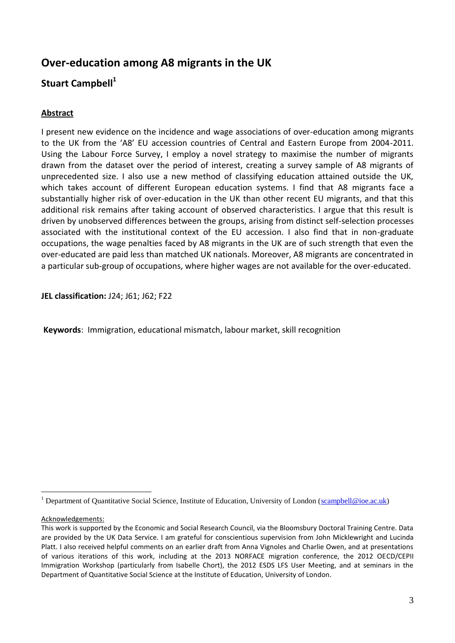# **Over-education among A8 migrants in the UK**

# **Stuart Campbell<sup>1</sup>**

## **Abstract**

I present new evidence on the incidence and wage associations of over-education among migrants to the UK from the 'A8' EU accession countries of Central and Eastern Europe from 2004-2011. Using the Labour Force Survey, I employ a novel strategy to maximise the number of migrants drawn from the dataset over the period of interest, creating a survey sample of A8 migrants of unprecedented size. I also use a new method of classifying education attained outside the UK, which takes account of different European education systems. I find that A8 migrants face a substantially higher risk of over-education in the UK than other recent EU migrants, and that this additional risk remains after taking account of observed characteristics. I argue that this result is driven by unobserved differences between the groups, arising from distinct self-selection processes associated with the institutional context of the EU accession. I also find that in non-graduate occupations, the wage penalties faced by A8 migrants in the UK are of such strength that even the over-educated are paid less than matched UK nationals. Moreover, A8 migrants are concentrated in a particular sub-group of occupations, where higher wages are not available for the over-educated.

**JEL classification:** J24; J61; J62; F22

**Keywords**: Immigration, educational mismatch, labour market, skill recognition

Acknowledgements:

 $\overline{a}$ 

<sup>&</sup>lt;sup>1</sup> Department of Quantitative Social Science, Institute of Education, University of London [\(scampbell@ioe.ac.uk\)](mailto:scampbell@ioe.ac.uk)

This work is supported by the Economic and Social Research Council, via the Bloomsbury Doctoral Training Centre. Data are provided by the UK Data Service. I am grateful for conscientious supervision from John Micklewright and Lucinda Platt. I also received helpful comments on an earlier draft from Anna Vignoles and Charlie Owen, and at presentations of various iterations of this work, including at the 2013 NORFACE migration conference, the 2012 OECD/CEPII Immigration Workshop (particularly from Isabelle Chort), the 2012 ESDS LFS User Meeting, and at seminars in the Department of Quantitative Social Science at the Institute of Education, University of London.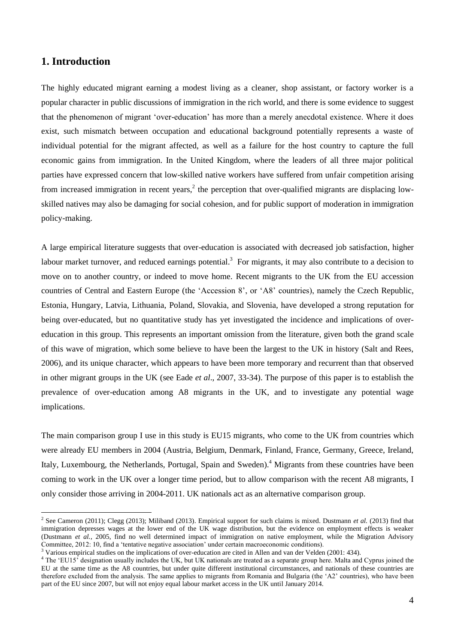### **1. Introduction**

The highly educated migrant earning a modest living as a cleaner, shop assistant, or factory worker is a popular character in public discussions of immigration in the rich world, and there is some evidence to suggest that the phenomenon of migrant 'over-education' has more than a merely anecdotal existence. Where it does exist, such mismatch between occupation and educational background potentially represents a waste of individual potential for the migrant affected, as well as a failure for the host country to capture the full economic gains from immigration. In the United Kingdom, where the leaders of all three major political parties have expressed concern that low-skilled native workers have suffered from unfair competition arising from increased immigration in recent years,<sup>2</sup> the perception that over-qualified migrants are displacing lowskilled natives may also be damaging for social cohesion, and for public support of moderation in immigration policy-making.

A large empirical literature suggests that over-education is associated with decreased job satisfaction, higher labour market turnover, and reduced earnings potential.<sup>3</sup> For migrants, it may also contribute to a decision to move on to another country, or indeed to move home. Recent migrants to the UK from the EU accession countries of Central and Eastern Europe (the 'Accession 8', or 'A8' countries), namely the Czech Republic, Estonia, Hungary, Latvia, Lithuania, Poland, Slovakia, and Slovenia, have developed a strong reputation for being over-educated, but no quantitative study has yet investigated the incidence and implications of overeducation in this group. This represents an important omission from the literature, given both the grand scale of this wave of migration, which some believe to have been the largest to the UK in history (Salt and Rees, 2006), and its unique character, which appears to have been more temporary and recurrent than that observed in other migrant groups in the UK (see Eade *et al*., 2007, 33-34). The purpose of this paper is to establish the prevalence of over-education among A8 migrants in the UK, and to investigate any potential wage implications.

The main comparison group I use in this study is EU15 migrants, who come to the UK from countries which were already EU members in 2004 (Austria, Belgium, Denmark, Finland, France, Germany, Greece, Ireland, Italy, Luxembourg, the Netherlands, Portugal, Spain and Sweden).<sup>4</sup> Migrants from these countries have been coming to work in the UK over a longer time period, but to allow comparison with the recent A8 migrants, I only consider those arriving in 2004-2011. UK nationals act as an alternative comparison group.

 2 See Cameron (2011); Clegg (2013); Miliband (2013). Empirical support for such claims is mixed. Dustmann *et al.* (2013) find that immigration depresses wages at the lower end of the UK wage distribution, but the evidence on employment effects is weaker (Dustmann *et al.*, 2005, find no well determined impact of immigration on native employment, while the Migration Advisory Committee, 2012: 10, find a 'tentative negative association' under certain macroeconomic conditions).

<sup>&</sup>lt;sup>3</sup> Various empirical studies on the implications of over-education are cited in Allen and van der Velden (2001: 434).

<sup>&</sup>lt;sup>4</sup> The 'EU15<sup>'</sup> designation usually includes the UK, but UK nationals are treated as a separate group here. Malta and Cyprus joined the EU at the same time as the A8 countries, but under quite different institutional circumstances, and nationals of these countries are therefore excluded from the analysis. The same applies to migrants from Romania and Bulgaria (the 'A2' countries), who have been part of the EU since 2007, but will not enjoy equal labour market access in the UK until January 2014.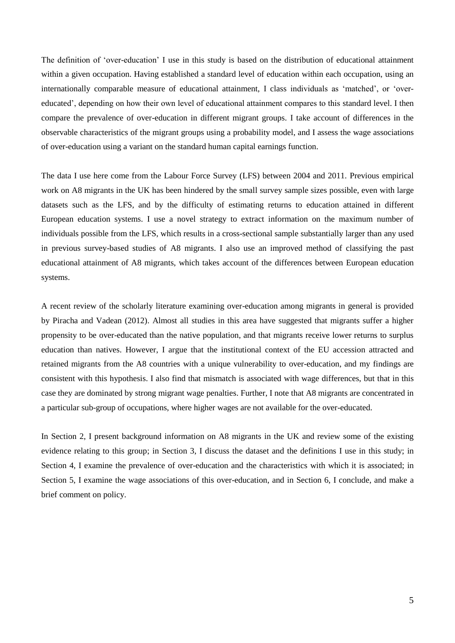The definition of 'over-education' I use in this study is based on the distribution of educational attainment within a given occupation. Having established a standard level of education within each occupation, using an internationally comparable measure of educational attainment, I class individuals as 'matched', or 'overeducated', depending on how their own level of educational attainment compares to this standard level. I then compare the prevalence of over-education in different migrant groups. I take account of differences in the observable characteristics of the migrant groups using a probability model, and I assess the wage associations of over-education using a variant on the standard human capital earnings function.

The data I use here come from the Labour Force Survey (LFS) between 2004 and 2011. Previous empirical work on A8 migrants in the UK has been hindered by the small survey sample sizes possible, even with large datasets such as the LFS, and by the difficulty of estimating returns to education attained in different European education systems. I use a novel strategy to extract information on the maximum number of individuals possible from the LFS, which results in a cross-sectional sample substantially larger than any used in previous survey-based studies of A8 migrants. I also use an improved method of classifying the past educational attainment of A8 migrants, which takes account of the differences between European education systems.

A recent review of the scholarly literature examining over-education among migrants in general is provided by Piracha and Vadean (2012). Almost all studies in this area have suggested that migrants suffer a higher propensity to be over-educated than the native population, and that migrants receive lower returns to surplus education than natives. However, I argue that the institutional context of the EU accession attracted and retained migrants from the A8 countries with a unique vulnerability to over-education, and my findings are consistent with this hypothesis. I also find that mismatch is associated with wage differences, but that in this case they are dominated by strong migrant wage penalties. Further, I note that A8 migrants are concentrated in a particular sub-group of occupations, where higher wages are not available for the over-educated.

In Section 2, I present background information on A8 migrants in the UK and review some of the existing evidence relating to this group; in Section 3, I discuss the dataset and the definitions I use in this study; in Section 4, I examine the prevalence of over-education and the characteristics with which it is associated; in Section 5, I examine the wage associations of this over-education, and in Section 6, I conclude, and make a brief comment on policy.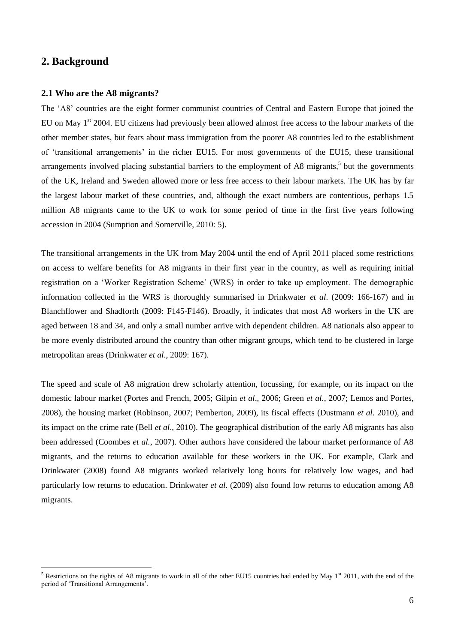### **2. Background**

 $\overline{a}$ 

#### **2.1 Who are the A8 migrants?**

The 'A8' countries are the eight former communist countries of Central and Eastern Europe that joined the EU on May 1<sup>st</sup> 2004. EU citizens had previously been allowed almost free access to the labour markets of the other member states, but fears about mass immigration from the poorer A8 countries led to the establishment of 'transitional arrangements' in the richer EU15. For most governments of the EU15, these transitional arrangements involved placing substantial barriers to the employment of A8 migrants,<sup>5</sup> but the governments of the UK, Ireland and Sweden allowed more or less free access to their labour markets. The UK has by far the largest labour market of these countries, and, although the exact numbers are contentious, perhaps 1.5 million A8 migrants came to the UK to work for some period of time in the first five years following accession in 2004 (Sumption and Somerville, 2010: 5).

The transitional arrangements in the UK from May 2004 until the end of April 2011 placed some restrictions on access to welfare benefits for A8 migrants in their first year in the country, as well as requiring initial registration on a 'Worker Registration Scheme' (WRS) in order to take up employment. The demographic information collected in the WRS is thoroughly summarised in Drinkwater *et al*. (2009: 166-167) and in Blanchflower and Shadforth (2009: F145-F146). Broadly, it indicates that most A8 workers in the UK are aged between 18 and 34, and only a small number arrive with dependent children. A8 nationals also appear to be more evenly distributed around the country than other migrant groups, which tend to be clustered in large metropolitan areas (Drinkwater *et al*., 2009: 167).

The speed and scale of A8 migration drew scholarly attention, focussing, for example, on its impact on the domestic labour market (Portes and French, 2005; Gilpin *et al*., 2006; Green *et al.*, 2007; Lemos and Portes, 2008), the housing market (Robinson, 2007; Pemberton, 2009), its fiscal effects (Dustmann *et al*. 2010), and its impact on the crime rate (Bell *et al*., 2010). The geographical distribution of the early A8 migrants has also been addressed (Coombes *et al.*, 2007). Other authors have considered the labour market performance of A8 migrants, and the returns to education available for these workers in the UK. For example, Clark and Drinkwater (2008) found A8 migrants worked relatively long hours for relatively low wages, and had particularly low returns to education. Drinkwater *et al*. (2009) also found low returns to education among A8 migrants.

<sup>&</sup>lt;sup>5</sup> Restrictions on the rights of A8 migrants to work in all of the other EU15 countries had ended by May  $1<sup>st</sup>$  2011, with the end of the period of 'Transitional Arrangements'.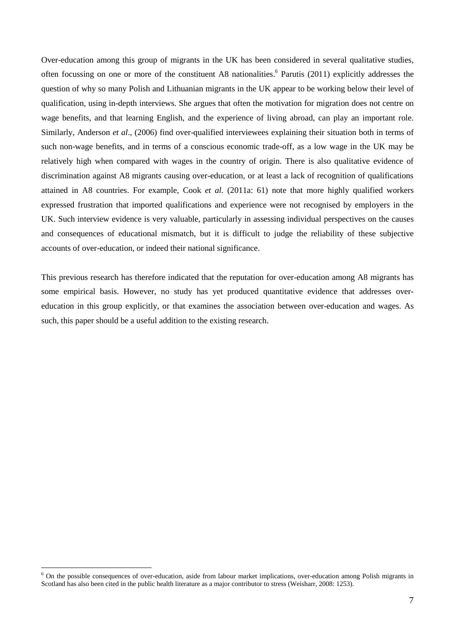Over-education among this group of migrants in the UK has been considered in several qualitative studies, often focussing on one or more of the constituent A8 nationalities. 6 Parutis (2011) explicitly addresses the question of why so many Polish and Lithuanian migrants in the UK appear to be working below their level of qualification, using in-depth interviews. She argues that often the motivation for migration does not centre on wage benefits, and that learning English, and the experience of living abroad, can play an important role. Similarly, Anderson *et al*., (2006) find over-qualified interviewees explaining their situation both in terms of such non-wage benefits, and in terms of a conscious economic trade-off, as a low wage in the UK may be relatively high when compared with wages in the country of origin. There is also qualitative evidence of discrimination against A8 migrants causing over-education, or at least a lack of recognition of qualifications attained in A8 countries. For example, Cook *et al.* (2011a: 61) note that more highly qualified workers expressed frustration that imported qualifications and experience were not recognised by employers in the UK. Such interview evidence is very valuable, particularly in assessing individual perspectives on the causes and consequences of educational mismatch, but it is difficult to judge the reliability of these subjective accounts of over-education, or indeed their national significance.

This previous research has therefore indicated that the reputation for over-education among A8 migrants has some empirical basis. However, no study has yet produced quantitative evidence that addresses overeducation in this group explicitly, or that examines the association between over-education and wages. As such, this paper should be a useful addition to the existing research.

 $\overline{a}$ 

 $6$  On the possible consequences of over-education, aside from labour market implications, over-education among Polish migrants in Scotland has also been cited in the public health literature as a major contributor to stress (Weisharr, 2008: 1253).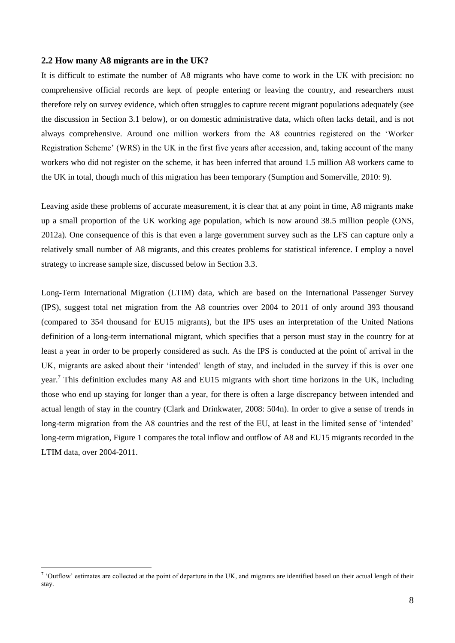#### **2.2 How many A8 migrants are in the UK?**

It is difficult to estimate the number of A8 migrants who have come to work in the UK with precision: no comprehensive official records are kept of people entering or leaving the country, and researchers must therefore rely on survey evidence, which often struggles to capture recent migrant populations adequately (see the discussion in Section 3.1 below), or on domestic administrative data, which often lacks detail, and is not always comprehensive. Around one million workers from the A8 countries registered on the 'Worker Registration Scheme' (WRS) in the UK in the first five years after accession, and, taking account of the many workers who did not register on the scheme, it has been inferred that around 1.5 million A8 workers came to the UK in total, though much of this migration has been temporary (Sumption and Somerville, 2010: 9).

Leaving aside these problems of accurate measurement, it is clear that at any point in time, A8 migrants make up a small proportion of the UK working age population, which is now around 38.5 million people (ONS, 2012a). One consequence of this is that even a large government survey such as the LFS can capture only a relatively small number of A8 migrants, and this creates problems for statistical inference. I employ a novel strategy to increase sample size, discussed below in Section 3.3.

Long-Term International Migration (LTIM) data, which are based on the International Passenger Survey (IPS), suggest total net migration from the A8 countries over 2004 to 2011 of only around 393 thousand (compared to 354 thousand for EU15 migrants), but the IPS uses an interpretation of the United Nations definition of a long-term international migrant, which specifies that a person must stay in the country for at least a year in order to be properly considered as such. As the IPS is conducted at the point of arrival in the UK, migrants are asked about their 'intended' length of stay, and included in the survey if this is over one year.<sup>7</sup> This definition excludes many A8 and EU15 migrants with short time horizons in the UK, including those who end up staying for longer than a year, for there is often a large discrepancy between intended and actual length of stay in the country (Clark and Drinkwater, 2008: 504n). In order to give a sense of trends in long-term migration from the A8 countries and the rest of the EU, at least in the limited sense of 'intended' long-term migration, Figure 1 compares the total inflow and outflow of A8 and EU15 migrants recorded in the LTIM data, over 2004-2011.

<sup>&</sup>lt;sup>7</sup> 'Outflow' estimates are collected at the point of departure in the UK, and migrants are identified based on their actual length of their stay.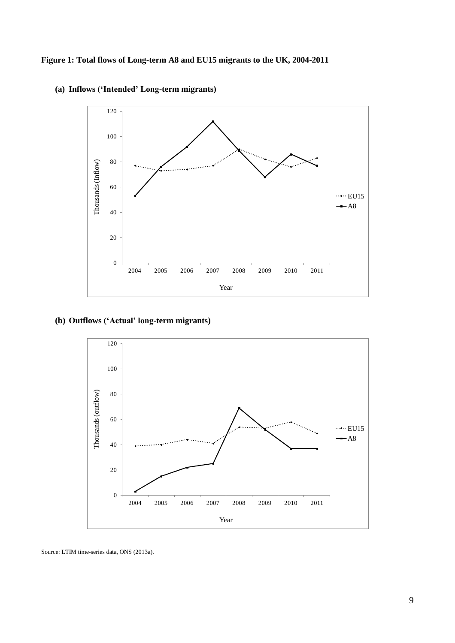

**(a) Inflows ('Intended' Long-term migrants)**

### **(b) Outflows ('Actual' long-term migrants)**



Source: LTIM time-series data, ONS (2013a).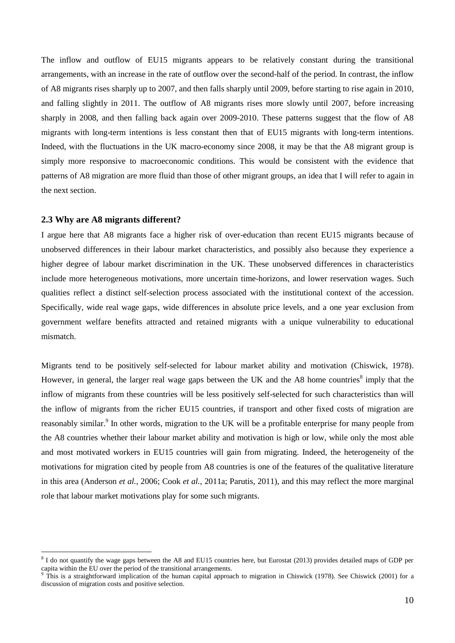The inflow and outflow of EU15 migrants appears to be relatively constant during the transitional arrangements, with an increase in the rate of outflow over the second-half of the period. In contrast, the inflow of A8 migrants rises sharply up to 2007, and then falls sharply until 2009, before starting to rise again in 2010, and falling slightly in 2011. The outflow of A8 migrants rises more slowly until 2007, before increasing sharply in 2008, and then falling back again over 2009-2010. These patterns suggest that the flow of A8 migrants with long-term intentions is less constant then that of EU15 migrants with long-term intentions. Indeed, with the fluctuations in the UK macro-economy since 2008, it may be that the A8 migrant group is simply more responsive to macroeconomic conditions. This would be consistent with the evidence that patterns of A8 migration are more fluid than those of other migrant groups, an idea that I will refer to again in the next section.

#### **2.3 Why are A8 migrants different?**

 $\overline{a}$ 

I argue here that A8 migrants face a higher risk of over-education than recent EU15 migrants because of unobserved differences in their labour market characteristics, and possibly also because they experience a higher degree of labour market discrimination in the UK. These unobserved differences in characteristics include more heterogeneous motivations, more uncertain time-horizons, and lower reservation wages. Such qualities reflect a distinct self-selection process associated with the institutional context of the accession. Specifically, wide real wage gaps, wide differences in absolute price levels, and a one year exclusion from government welfare benefits attracted and retained migrants with a unique vulnerability to educational mismatch.

Migrants tend to be positively self-selected for labour market ability and motivation (Chiswick, 1978). However, in general, the larger real wage gaps between the UK and the A8 home countries<sup>8</sup> imply that the inflow of migrants from these countries will be less positively self-selected for such characteristics than will the inflow of migrants from the richer EU15 countries, if transport and other fixed costs of migration are reasonably similar.<sup>9</sup> In other words, migration to the UK will be a profitable enterprise for many people from the A8 countries whether their labour market ability and motivation is high or low, while only the most able and most motivated workers in EU15 countries will gain from migrating. Indeed, the heterogeneity of the motivations for migration cited by people from A8 countries is one of the features of the qualitative literature in this area (Anderson *et al.*, 2006; Cook *et al.*, 2011a; Parutis, 2011), and this may reflect the more marginal role that labour market motivations play for some such migrants.

<sup>&</sup>lt;sup>8</sup> I do not quantify the wage gaps between the A8 and EU15 countries here, but Eurostat (2013) provides detailed maps of GDP per capita within the EU over the period of the transitional arrangements.

 $9$  This is a straightforward implication of the human capital approach to migration in Chiswick (1978). See Chiswick (2001) for a discussion of migration costs and positive selection.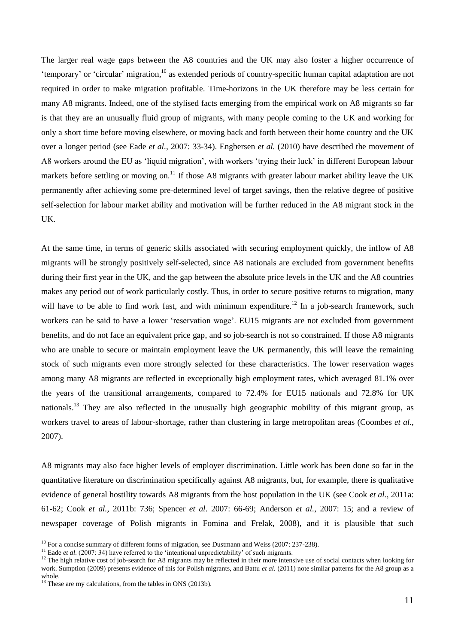The larger real wage gaps between the A8 countries and the UK may also foster a higher occurrence of 'temporary' or 'circular' migration,<sup>10</sup> as extended periods of country-specific human capital adaptation are not required in order to make migration profitable. Time-horizons in the UK therefore may be less certain for many A8 migrants. Indeed, one of the stylised facts emerging from the empirical work on A8 migrants so far is that they are an unusually fluid group of migrants, with many people coming to the UK and working for only a short time before moving elsewhere, or moving back and forth between their home country and the UK over a longer period (see Eade *et al.*, 2007: 33-34). Engbersen *et al.* (2010) have described the movement of A8 workers around the EU as 'liquid migration', with workers 'trying their luck' in different European labour markets before settling or moving on.<sup>11</sup> If those A8 migrants with greater labour market ability leave the UK permanently after achieving some pre-determined level of target savings, then the relative degree of positive self-selection for labour market ability and motivation will be further reduced in the A8 migrant stock in the UK.

At the same time, in terms of generic skills associated with securing employment quickly, the inflow of A8 migrants will be strongly positively self-selected, since A8 nationals are excluded from government benefits during their first year in the UK, and the gap between the absolute price levels in the UK and the A8 countries makes any period out of work particularly costly. Thus, in order to secure positive returns to migration, many will have to be able to find work fast, and with minimum expenditure.<sup>12</sup> In a job-search framework, such workers can be said to have a lower 'reservation wage'. EU15 migrants are not excluded from government benefits, and do not face an equivalent price gap, and so job-search is not so constrained. If those A8 migrants who are unable to secure or maintain employment leave the UK permanently, this will leave the remaining stock of such migrants even more strongly selected for these characteristics. The lower reservation wages among many A8 migrants are reflected in exceptionally high employment rates, which averaged 81.1% over the years of the transitional arrangements, compared to 72.4% for EU15 nationals and 72.8% for UK nationals.<sup>13</sup> They are also reflected in the unusually high geographic mobility of this migrant group, as workers travel to areas of labour-shortage, rather than clustering in large metropolitan areas (Coombes *et al.*, 2007).

A8 migrants may also face higher levels of employer discrimination. Little work has been done so far in the quantitative literature on discrimination specifically against A8 migrants, but, for example, there is qualitative evidence of general hostility towards A8 migrants from the host population in the UK (see Cook *et al.*, 2011a: 61-62; Cook *et al.*, 2011b: 736; Spencer *et al*. 2007: 66-69; Anderson *et al.*, 2007: 15; and a review of newspaper coverage of Polish migrants in Fomina and Frelak, 2008), and it is plausible that such

 $\overline{a}$ 

<sup>&</sup>lt;sup>10</sup> For a concise summary of different forms of migration, see Dustmann and Weiss (2007: 237-238).

<sup>&</sup>lt;sup>11</sup> Eade *et al.* (2007: 34) have referred to the 'intentional unpredictability' of such migrants.

<sup>&</sup>lt;sup>12</sup> The high relative cost of job-search for A8 migrants may be reflected in their more intensive use of social contacts when looking for work. Sumption (2009) presents evidence of this for Polish migrants, and Battu *et al.* (2011) note similar patterns for the A8 group as a whole.

<sup>&</sup>lt;sup>13</sup> These are my calculations, from the tables in ONS (2013b).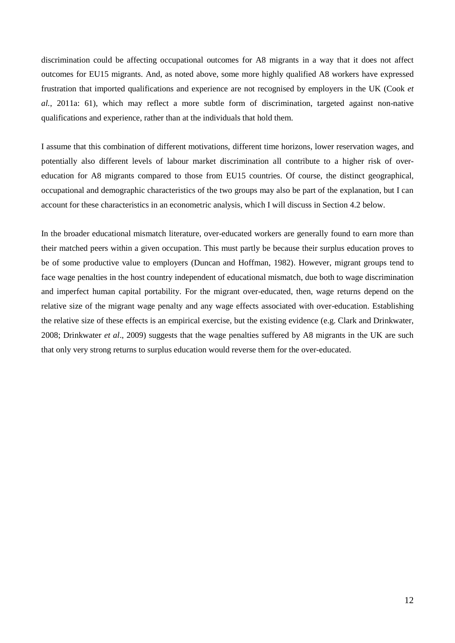discrimination could be affecting occupational outcomes for A8 migrants in a way that it does not affect outcomes for EU15 migrants. And, as noted above, some more highly qualified A8 workers have expressed frustration that imported qualifications and experience are not recognised by employers in the UK (Cook *et al.*, 2011a: 61), which may reflect a more subtle form of discrimination, targeted against non-native qualifications and experience, rather than at the individuals that hold them.

I assume that this combination of different motivations, different time horizons, lower reservation wages, and potentially also different levels of labour market discrimination all contribute to a higher risk of overeducation for A8 migrants compared to those from EU15 countries. Of course, the distinct geographical, occupational and demographic characteristics of the two groups may also be part of the explanation, but I can account for these characteristics in an econometric analysis, which I will discuss in Section 4.2 below.

In the broader educational mismatch literature, over-educated workers are generally found to earn more than their matched peers within a given occupation. This must partly be because their surplus education proves to be of some productive value to employers (Duncan and Hoffman, 1982). However, migrant groups tend to face wage penalties in the host country independent of educational mismatch, due both to wage discrimination and imperfect human capital portability. For the migrant over-educated, then, wage returns depend on the relative size of the migrant wage penalty and any wage effects associated with over-education. Establishing the relative size of these effects is an empirical exercise, but the existing evidence (e.g. Clark and Drinkwater, 2008; Drinkwater *et al*., 2009) suggests that the wage penalties suffered by A8 migrants in the UK are such that only very strong returns to surplus education would reverse them for the over-educated.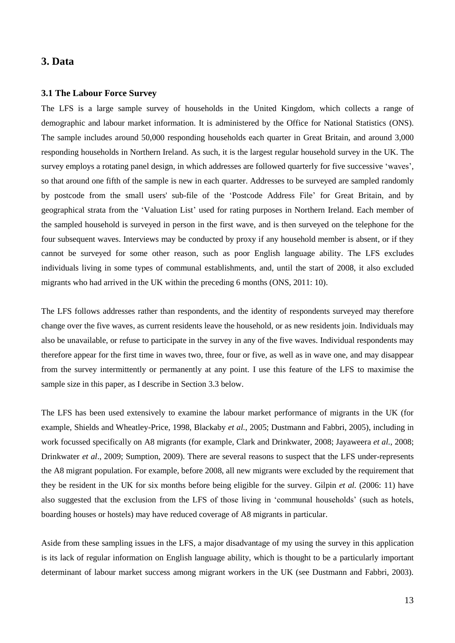### **3. Data**

#### **3.1 The Labour Force Survey**

The LFS is a large sample survey of households in the United Kingdom, which collects a range of demographic and labour market information. It is administered by the Office for National Statistics (ONS). The sample includes around 50,000 responding households each quarter in Great Britain, and around 3,000 responding households in Northern Ireland. As such, it is the largest regular household survey in the UK. The survey employs a rotating panel design, in which addresses are followed quarterly for five successive 'waves', so that around one fifth of the sample is new in each quarter. Addresses to be surveyed are sampled randomly by postcode from the small users' sub-file of the 'Postcode Address File' for Great Britain, and by geographical strata from the 'Valuation List' used for rating purposes in Northern Ireland. Each member of the sampled household is surveyed in person in the first wave, and is then surveyed on the telephone for the four subsequent waves. Interviews may be conducted by proxy if any household member is absent, or if they cannot be surveyed for some other reason, such as poor English language ability. The LFS excludes individuals living in some types of communal establishments, and, until the start of 2008, it also excluded migrants who had arrived in the UK within the preceding 6 months (ONS, 2011: 10).

The LFS follows addresses rather than respondents, and the identity of respondents surveyed may therefore change over the five waves, as current residents leave the household, or as new residents join. Individuals may also be unavailable, or refuse to participate in the survey in any of the five waves. Individual respondents may therefore appear for the first time in waves two, three, four or five, as well as in wave one, and may disappear from the survey intermittently or permanently at any point. I use this feature of the LFS to maximise the sample size in this paper, as I describe in Section 3.3 below.

The LFS has been used extensively to examine the labour market performance of migrants in the UK (for example, Shields and Wheatley-Price, 1998, Blackaby *et al.*, 2005; Dustmann and Fabbri, 2005), including in work focussed specifically on A8 migrants (for example, Clark and Drinkwater, 2008; Jayaweera *et al.*, 2008; Drinkwater *et al*., 2009; Sumption, 2009). There are several reasons to suspect that the LFS under-represents the A8 migrant population. For example, before 2008, all new migrants were excluded by the requirement that they be resident in the UK for six months before being eligible for the survey. Gilpin *et al.* (2006: 11) have also suggested that the exclusion from the LFS of those living in 'communal households' (such as hotels, boarding houses or hostels) may have reduced coverage of A8 migrants in particular.

Aside from these sampling issues in the LFS, a major disadvantage of my using the survey in this application is its lack of regular information on English language ability, which is thought to be a particularly important determinant of labour market success among migrant workers in the UK (see Dustmann and Fabbri, 2003).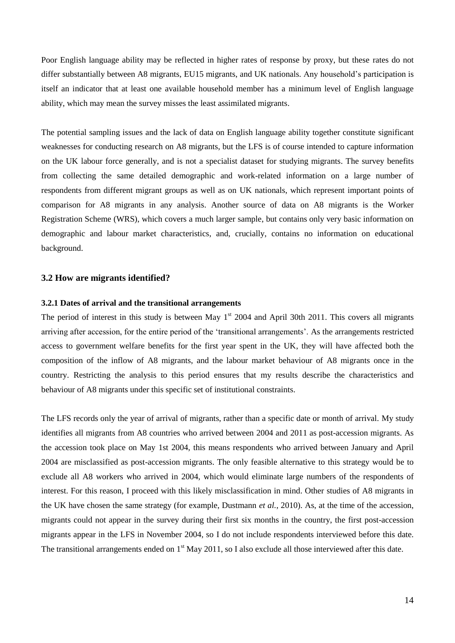Poor English language ability may be reflected in higher rates of response by proxy, but these rates do not differ substantially between A8 migrants, EU15 migrants, and UK nationals. Any household's participation is itself an indicator that at least one available household member has a minimum level of English language ability, which may mean the survey misses the least assimilated migrants.

The potential sampling issues and the lack of data on English language ability together constitute significant weaknesses for conducting research on A8 migrants, but the LFS is of course intended to capture information on the UK labour force generally, and is not a specialist dataset for studying migrants. The survey benefits from collecting the same detailed demographic and work-related information on a large number of respondents from different migrant groups as well as on UK nationals, which represent important points of comparison for A8 migrants in any analysis. Another source of data on A8 migrants is the Worker Registration Scheme (WRS), which covers a much larger sample, but contains only very basic information on demographic and labour market characteristics, and, crucially, contains no information on educational background.

#### **3.2 How are migrants identified?**

### **3.2.1 Dates of arrival and the transitional arrangements**

The period of interest in this study is between May  $1<sup>st</sup>$  2004 and April 30th 2011. This covers all migrants arriving after accession, for the entire period of the 'transitional arrangements'. As the arrangements restricted access to government welfare benefits for the first year spent in the UK, they will have affected both the composition of the inflow of A8 migrants, and the labour market behaviour of A8 migrants once in the country. Restricting the analysis to this period ensures that my results describe the characteristics and behaviour of A8 migrants under this specific set of institutional constraints.

The LFS records only the year of arrival of migrants, rather than a specific date or month of arrival. My study identifies all migrants from A8 countries who arrived between 2004 and 2011 as post-accession migrants. As the accession took place on May 1st 2004, this means respondents who arrived between January and April 2004 are misclassified as post-accession migrants. The only feasible alternative to this strategy would be to exclude all A8 workers who arrived in 2004, which would eliminate large numbers of the respondents of interest. For this reason, I proceed with this likely misclassification in mind. Other studies of A8 migrants in the UK have chosen the same strategy (for example, Dustmann *et al.*, 2010). As, at the time of the accession, migrants could not appear in the survey during their first six months in the country, the first post-accession migrants appear in the LFS in November 2004, so I do not include respondents interviewed before this date. The transitional arrangements ended on  $1<sup>st</sup>$  May 2011, so I also exclude all those interviewed after this date.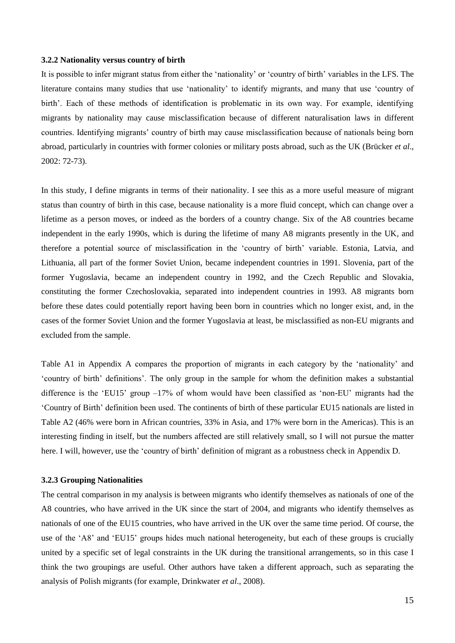#### **3.2.2 Nationality versus country of birth**

It is possible to infer migrant status from either the 'nationality' or 'country of birth' variables in the LFS. The literature contains many studies that use 'nationality' to identify migrants, and many that use 'country of birth'. Each of these methods of identification is problematic in its own way. For example, identifying migrants by nationality may cause misclassification because of different naturalisation laws in different countries. Identifying migrants' country of birth may cause misclassification because of nationals being born abroad, particularly in countries with former colonies or military posts abroad, such as the UK (Brücker *et al*., 2002: 72-73).

In this study, I define migrants in terms of their nationality. I see this as a more useful measure of migrant status than country of birth in this case, because nationality is a more fluid concept, which can change over a lifetime as a person moves, or indeed as the borders of a country change. Six of the A8 countries became independent in the early 1990s, which is during the lifetime of many A8 migrants presently in the UK, and therefore a potential source of misclassification in the 'country of birth' variable. Estonia, Latvia, and Lithuania, all part of the former Soviet Union, became independent countries in 1991. Slovenia, part of the former Yugoslavia, became an independent country in 1992, and the Czech Republic and Slovakia, constituting the former Czechoslovakia, separated into independent countries in 1993. A8 migrants born before these dates could potentially report having been born in countries which no longer exist, and, in the cases of the former Soviet Union and the former Yugoslavia at least, be misclassified as non-EU migrants and excluded from the sample.

Table A1 in Appendix A compares the proportion of migrants in each category by the 'nationality' and 'country of birth' definitions'. The only group in the sample for whom the definition makes a substantial difference is the 'EU15' group  $-17\%$  of whom would have been classified as 'non-EU' migrants had the 'Country of Birth' definition been used. The continents of birth of these particular EU15 nationals are listed in Table A2 (46% were born in African countries, 33% in Asia, and 17% were born in the Americas). This is an interesting finding in itself, but the numbers affected are still relatively small, so I will not pursue the matter here. I will, however, use the 'country of birth' definition of migrant as a robustness check in Appendix D.

#### **3.2.3 Grouping Nationalities**

The central comparison in my analysis is between migrants who identify themselves as nationals of one of the A8 countries, who have arrived in the UK since the start of 2004, and migrants who identify themselves as nationals of one of the EU15 countries, who have arrived in the UK over the same time period. Of course, the use of the 'A8' and 'EU15' groups hides much national heterogeneity, but each of these groups is crucially united by a specific set of legal constraints in the UK during the transitional arrangements, so in this case I think the two groupings are useful. Other authors have taken a different approach, such as separating the analysis of Polish migrants (for example, Drinkwater *et al*., 2008).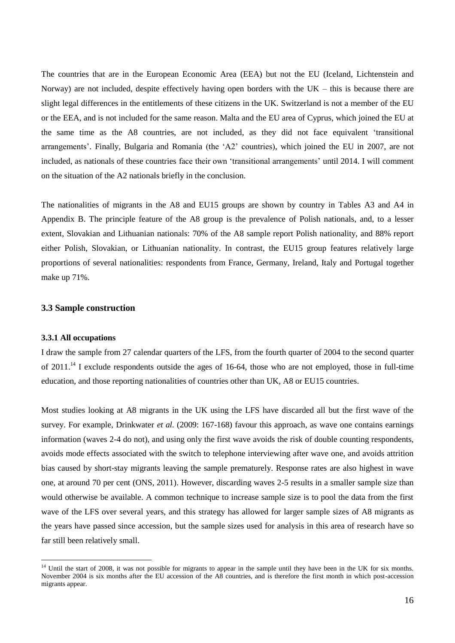The countries that are in the European Economic Area (EEA) but not the EU (Iceland, Lichtenstein and Norway) are not included, despite effectively having open borders with the  $UK - this$  is because there are slight legal differences in the entitlements of these citizens in the UK. Switzerland is not a member of the EU or the EEA, and is not included for the same reason. Malta and the EU area of Cyprus, which joined the EU at the same time as the A8 countries, are not included, as they did not face equivalent 'transitional arrangements'. Finally, Bulgaria and Romania (the 'A2' countries), which joined the EU in 2007, are not included, as nationals of these countries face their own 'transitional arrangements' until 2014. I will comment on the situation of the A2 nationals briefly in the conclusion.

The nationalities of migrants in the A8 and EU15 groups are shown by country in Tables A3 and A4 in Appendix B. The principle feature of the A8 group is the prevalence of Polish nationals, and, to a lesser extent, Slovakian and Lithuanian nationals: 70% of the A8 sample report Polish nationality, and 88% report either Polish, Slovakian, or Lithuanian nationality. In contrast, the EU15 group features relatively large proportions of several nationalities: respondents from France, Germany, Ireland, Italy and Portugal together make up 71%.

### **3.3 Sample construction**

#### **3.3.1 All occupations**

 $\overline{a}$ 

I draw the sample from 27 calendar quarters of the LFS, from the fourth quarter of 2004 to the second quarter of 2011.<sup>14</sup> I exclude respondents outside the ages of 16-64, those who are not employed, those in full-time education, and those reporting nationalities of countries other than UK, A8 or EU15 countries.

Most studies looking at A8 migrants in the UK using the LFS have discarded all but the first wave of the survey. For example, Drinkwater *et al.* (2009: 167-168) favour this approach, as wave one contains earnings information (waves 2-4 do not), and using only the first wave avoids the risk of double counting respondents, avoids mode effects associated with the switch to telephone interviewing after wave one, and avoids attrition bias caused by short-stay migrants leaving the sample prematurely. Response rates are also highest in wave one, at around 70 per cent (ONS, 2011). However, discarding waves 2-5 results in a smaller sample size than would otherwise be available. A common technique to increase sample size is to pool the data from the first wave of the LFS over several years, and this strategy has allowed for larger sample sizes of A8 migrants as the years have passed since accession, but the sample sizes used for analysis in this area of research have so far still been relatively small.

<sup>&</sup>lt;sup>14</sup> Until the start of 2008, it was not possible for migrants to appear in the sample until they have been in the UK for six months. November 2004 is six months after the EU accession of the A8 countries, and is therefore the first month in which post-accession migrants appear.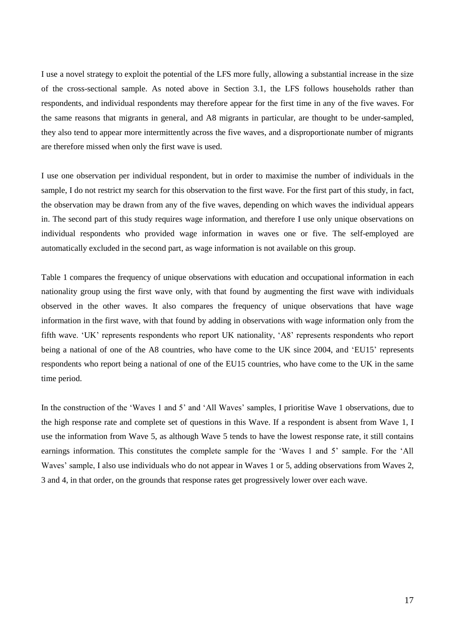I use a novel strategy to exploit the potential of the LFS more fully, allowing a substantial increase in the size of the cross-sectional sample. As noted above in Section 3.1, the LFS follows households rather than respondents, and individual respondents may therefore appear for the first time in any of the five waves. For the same reasons that migrants in general, and A8 migrants in particular, are thought to be under-sampled, they also tend to appear more intermittently across the five waves, and a disproportionate number of migrants are therefore missed when only the first wave is used.

I use one observation per individual respondent, but in order to maximise the number of individuals in the sample, I do not restrict my search for this observation to the first wave. For the first part of this study, in fact, the observation may be drawn from any of the five waves, depending on which waves the individual appears in. The second part of this study requires wage information, and therefore I use only unique observations on individual respondents who provided wage information in waves one or five. The self-employed are automatically excluded in the second part, as wage information is not available on this group.

Table 1 compares the frequency of unique observations with education and occupational information in each nationality group using the first wave only, with that found by augmenting the first wave with individuals observed in the other waves. It also compares the frequency of unique observations that have wage information in the first wave, with that found by adding in observations with wage information only from the fifth wave. 'UK' represents respondents who report UK nationality, 'A8' represents respondents who report being a national of one of the A8 countries, who have come to the UK since 2004, and 'EU15' represents respondents who report being a national of one of the EU15 countries, who have come to the UK in the same time period.

In the construction of the 'Waves 1 and 5' and 'All Waves' samples, I prioritise Wave 1 observations, due to the high response rate and complete set of questions in this Wave. If a respondent is absent from Wave 1, I use the information from Wave 5, as although Wave 5 tends to have the lowest response rate, it still contains earnings information. This constitutes the complete sample for the 'Waves 1 and 5' sample. For the 'All Waves' sample, I also use individuals who do not appear in Waves 1 or 5, adding observations from Waves 2, 3 and 4, in that order, on the grounds that response rates get progressively lower over each wave.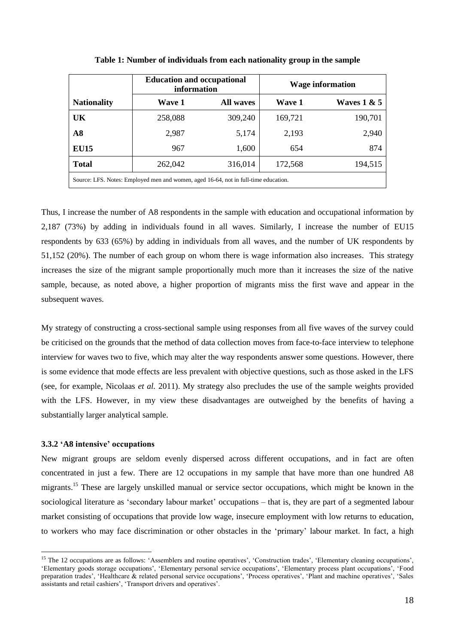|                                                                                     | <b>Education and occupational</b><br>information |                  | <b>Wage information</b> |               |  |
|-------------------------------------------------------------------------------------|--------------------------------------------------|------------------|-------------------------|---------------|--|
| <b>Nationality</b>                                                                  | <b>Wave 1</b>                                    | <b>All waves</b> | Wave 1                  | Waves $1 & 5$ |  |
| UK                                                                                  | 258,088                                          | 309,240          | 169,721                 | 190,701       |  |
| A8                                                                                  | 2,987                                            | 5,174            | 2,193                   | 2,940         |  |
| <b>EU15</b>                                                                         | 967                                              | 1,600            | 654                     | 874           |  |
| <b>Total</b>                                                                        | 262,042                                          | 316,014          | 172,568                 | 194,515       |  |
| Source: LFS. Notes: Employed men and women, aged 16-64, not in full-time education. |                                                  |                  |                         |               |  |

**Table 1: Number of individuals from each nationality group in the sample**

Thus, I increase the number of A8 respondents in the sample with education and occupational information by 2,187 (73%) by adding in individuals found in all waves. Similarly, I increase the number of EU15 respondents by 633 (65%) by adding in individuals from all waves, and the number of UK respondents by 51,152 (20%). The number of each group on whom there is wage information also increases. This strategy increases the size of the migrant sample proportionally much more than it increases the size of the native sample, because, as noted above, a higher proportion of migrants miss the first wave and appear in the subsequent waves.

My strategy of constructing a cross-sectional sample using responses from all five waves of the survey could be criticised on the grounds that the method of data collection moves from face-to-face interview to telephone interview for waves two to five, which may alter the way respondents answer some questions. However, there is some evidence that mode effects are less prevalent with objective questions, such as those asked in the LFS (see, for example, Nicolaas *et al.* 2011). My strategy also precludes the use of the sample weights provided with the LFS. However, in my view these disadvantages are outweighed by the benefits of having a substantially larger analytical sample.

#### **3.3.2 'A8 intensive' occupations**

 $\overline{a}$ 

New migrant groups are seldom evenly dispersed across different occupations, and in fact are often concentrated in just a few. There are 12 occupations in my sample that have more than one hundred A8 migrants.<sup>15</sup> These are largely unskilled manual or service sector occupations, which might be known in the sociological literature as 'secondary labour market' occupations – that is, they are part of a segmented labour market consisting of occupations that provide low wage, insecure employment with low returns to education, to workers who may face discrimination or other obstacles in the 'primary' labour market. In fact, a high

<sup>&</sup>lt;sup>15</sup> The 12 occupations are as follows: 'Assemblers and routine operatives', 'Construction trades', 'Elementary cleaning occupations', 'Elementary goods storage occupations', 'Elementary personal service occupations', 'Elementary process plant occupations', 'Food preparation trades', 'Healthcare & related personal service occupations', 'Process operatives', 'Plant and machine operatives', 'Sales assistants and retail cashiers', 'Transport drivers and operatives'.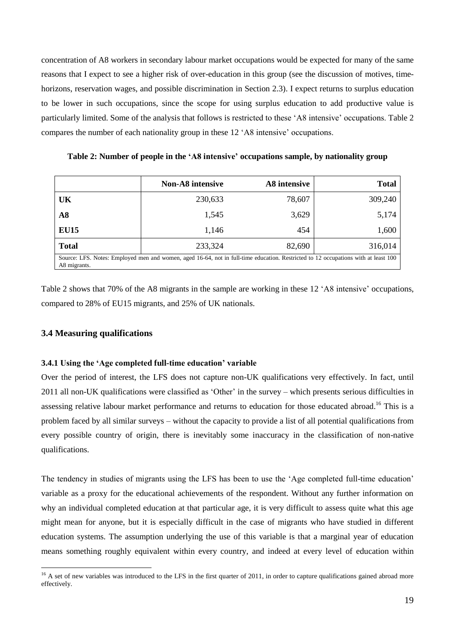concentration of A8 workers in secondary labour market occupations would be expected for many of the same reasons that I expect to see a higher risk of over-education in this group (see the discussion of motives, timehorizons, reservation wages, and possible discrimination in Section 2.3). I expect returns to surplus education to be lower in such occupations, since the scope for using surplus education to add productive value is particularly limited. Some of the analysis that follows is restricted to these 'A8 intensive' occupations. Table 2 compares the number of each nationality group in these 12 'A8 intensive' occupations.

**Non-A8 intensive A8 intensive Total UK** 230,633 78,607 309,240 **A8** 1,545 3,629 5,174 **EU15** 1,146 454 1,600 **Total** 233,324 82,690 316,014 Source: LFS. Notes: Employed men and women, aged 16-64, not in full-time education. Restricted to 12 occupations with at least 100 A8 migrants.

Table 2 shows that 70% of the A8 migrants in the sample are working in these 12 'A8 intensive' occupations, compared to 28% of EU15 migrants, and 25% of UK nationals.

#### **3.4 Measuring qualifications**

 $\overline{a}$ 

### **3.4.1 Using the 'Age completed full-time education' variable**

Over the period of interest, the LFS does not capture non-UK qualifications very effectively. In fact, until 2011 all non-UK qualifications were classified as 'Other' in the survey – which presents serious difficulties in assessing relative labour market performance and returns to education for those educated abroad.<sup>16</sup> This is a problem faced by all similar surveys – without the capacity to provide a list of all potential qualifications from every possible country of origin, there is inevitably some inaccuracy in the classification of non-native qualifications.

The tendency in studies of migrants using the LFS has been to use the 'Age completed full-time education' variable as a proxy for the educational achievements of the respondent. Without any further information on why an individual completed education at that particular age, it is very difficult to assess quite what this age might mean for anyone, but it is especially difficult in the case of migrants who have studied in different education systems. The assumption underlying the use of this variable is that a marginal year of education means something roughly equivalent within every country, and indeed at every level of education within

**Table 2: Number of people in the 'A8 intensive' occupations sample, by nationality group**

 $16$  A set of new variables was introduced to the LFS in the first quarter of 2011, in order to capture qualifications gained abroad more effectively.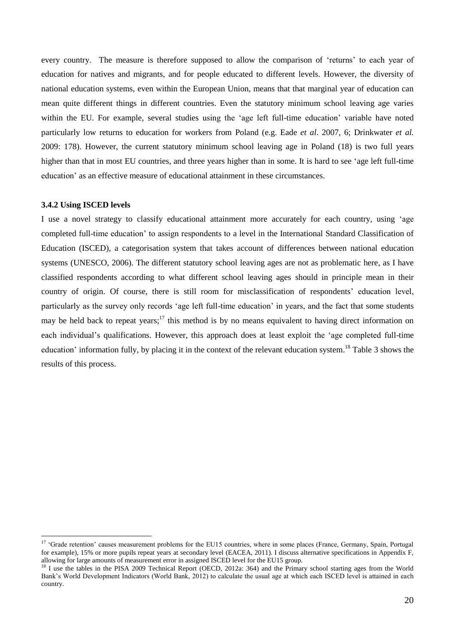every country. The measure is therefore supposed to allow the comparison of 'returns' to each year of education for natives and migrants, and for people educated to different levels. However, the diversity of national education systems, even within the European Union, means that that marginal year of education can mean quite different things in different countries. Even the statutory minimum school leaving age varies within the EU. For example, several studies using the 'age left full-time education' variable have noted particularly low returns to education for workers from Poland (e.g. Eade *et al*. 2007, 6; Drinkwater *et al.* 2009: 178). However, the current statutory minimum school leaving age in Poland (18) is two full years higher than that in most EU countries, and three years higher than in some. It is hard to see 'age left full-time education' as an effective measure of educational attainment in these circumstances.

### **3.4.2 Using ISCED levels**

 $\overline{a}$ 

I use a novel strategy to classify educational attainment more accurately for each country, using 'age completed full-time education' to assign respondents to a level in the International Standard Classification of Education (ISCED), a categorisation system that takes account of differences between national education systems (UNESCO, 2006). The different statutory school leaving ages are not as problematic here, as I have classified respondents according to what different school leaving ages should in principle mean in their country of origin. Of course, there is still room for misclassification of respondents' education level, particularly as the survey only records 'age left full-time education' in years, and the fact that some students may be held back to repeat years;<sup>17</sup> this method is by no means equivalent to having direct information on each individual's qualifications. However, this approach does at least exploit the 'age completed full-time education' information fully, by placing it in the context of the relevant education system.<sup>18</sup> Table 3 shows the results of this process.

<sup>&</sup>lt;sup>17</sup> 'Grade retention' causes measurement problems for the EU15 countries, where in some places (France, Germany, Spain, Portugal for example), 15% or more pupils repeat years at secondary level (EACEA, 2011). I discuss alternative specifications in Appendix F, allowing for large amounts of measurement error in assigned ISCED level for the EU15 group.

<sup>&</sup>lt;sup>18</sup> I use the tables in the PISA 2009 Technical Report (OECD, 2012a: 364) and the Primary school starting ages from the World Bank's World Development Indicators (World Bank, 2012) to calculate the usual age at which each ISCED level is attained in each country.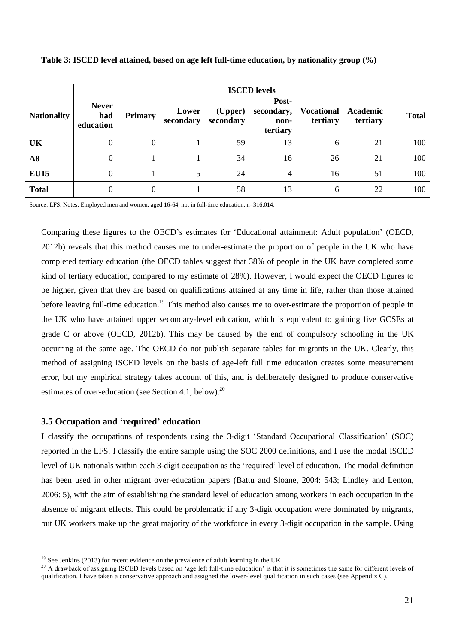|                                                                                                                   | <b>ISCED</b> levels              |                |                    |                      |                                         |                               |                      |              |
|-------------------------------------------------------------------------------------------------------------------|----------------------------------|----------------|--------------------|----------------------|-----------------------------------------|-------------------------------|----------------------|--------------|
| <b>Nationality</b>                                                                                                | <b>Never</b><br>had<br>education | <b>Primary</b> | Lower<br>secondary | (Upper)<br>secondary | Post-<br>secondary,<br>non-<br>tertiary | <b>Vocational</b><br>tertiary | Academic<br>tertiary | <b>Total</b> |
| <b>UK</b>                                                                                                         | $\Omega$                         | $\Omega$       |                    | 59                   | 13                                      | 6                             | 21                   | 100          |
| A8                                                                                                                | $\Omega$                         |                |                    | 34                   | 16                                      | 26                            | 21                   | 100          |
| <b>EU15</b>                                                                                                       | $\Omega$                         |                | 5                  | 24                   | $\overline{4}$                          | 16                            | 51                   | 100          |
| <b>Total</b>                                                                                                      | $\Omega$                         | $\Omega$       |                    | 58                   | 13                                      | 6                             | 22                   | 100          |
| $\mathcal{L}_{\text{Coulons}}$ LEC Motor Employed man and waman, and 16.64, not in full time advantion, n=216.014 |                                  |                |                    |                      |                                         |                               |                      |              |

| Table 3: ISCED level attained, based on age left full-time education, by nationality group (%) |  |  |  |
|------------------------------------------------------------------------------------------------|--|--|--|
|------------------------------------------------------------------------------------------------|--|--|--|

Source: LFS. Notes: Employed men and women, aged 16-64, not in full-time education. n=316,014.

Comparing these figures to the OECD's estimates for 'Educational attainment: Adult population' (OECD, 2012b) reveals that this method causes me to under-estimate the proportion of people in the UK who have completed tertiary education (the OECD tables suggest that 38% of people in the UK have completed some kind of tertiary education, compared to my estimate of 28%). However, I would expect the OECD figures to be higher, given that they are based on qualifications attained at any time in life, rather than those attained before leaving full-time education.<sup>19</sup> This method also causes me to over-estimate the proportion of people in the UK who have attained upper secondary-level education, which is equivalent to gaining five GCSEs at grade C or above (OECD, 2012b). This may be caused by the end of compulsory schooling in the UK occurring at the same age. The OECD do not publish separate tables for migrants in the UK. Clearly, this method of assigning ISCED levels on the basis of age-left full time education creates some measurement error, but my empirical strategy takes account of this, and is deliberately designed to produce conservative estimates of over-education (see Section 4.1, below).<sup>20</sup>

### **3.5 Occupation and 'required' education**

 $\overline{a}$ 

I classify the occupations of respondents using the 3-digit 'Standard Occupational Classification' (SOC) reported in the LFS. I classify the entire sample using the SOC 2000 definitions, and I use the modal ISCED level of UK nationals within each 3-digit occupation as the 'required' level of education. The modal definition has been used in other migrant over-education papers (Battu and Sloane, 2004: 543; Lindley and Lenton, 2006: 5), with the aim of establishing the standard level of education among workers in each occupation in the absence of migrant effects. This could be problematic if any 3-digit occupation were dominated by migrants, but UK workers make up the great majority of the workforce in every 3-digit occupation in the sample. Using

 $19$  See Jenkins (2013) for recent evidence on the prevalence of adult learning in the UK

<sup>&</sup>lt;sup>20</sup> A drawback of assigning ISCED levels based on 'age left full-time education' is that it is sometimes the same for different levels of qualification. I have taken a conservative approach and assigned the lower-level qualification in such cases (see Appendix C).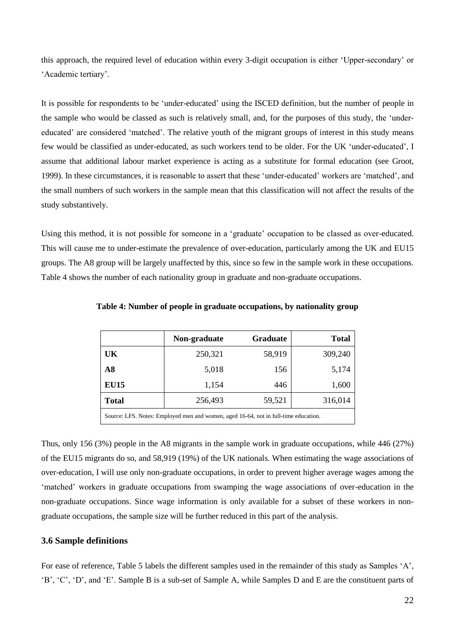this approach, the required level of education within every 3-digit occupation is either 'Upper-secondary' or 'Academic tertiary'.

It is possible for respondents to be 'under-educated' using the ISCED definition, but the number of people in the sample who would be classed as such is relatively small, and, for the purposes of this study, the 'undereducated' are considered 'matched'. The relative youth of the migrant groups of interest in this study means few would be classified as under-educated, as such workers tend to be older. For the UK 'under-educated', I assume that additional labour market experience is acting as a substitute for formal education (see Groot, 1999). In these circumstances, it is reasonable to assert that these 'under-educated' workers are 'matched', and the small numbers of such workers in the sample mean that this classification will not affect the results of the study substantively.

Using this method, it is not possible for someone in a 'graduate' occupation to be classed as over-educated. This will cause me to under-estimate the prevalence of over-education, particularly among the UK and EU15 groups. The A8 group will be largely unaffected by this, since so few in the sample work in these occupations. Table 4 shows the number of each nationality group in graduate and non-graduate occupations.

|                                                                                     | Non-graduate | <b>Graduate</b> | <b>Total</b> |  |
|-------------------------------------------------------------------------------------|--------------|-----------------|--------------|--|
| UK                                                                                  | 250,321      | 58,919          | 309,240      |  |
| A8                                                                                  | 5,018        | 156             | 5,174        |  |
| <b>EU15</b>                                                                         | 1,154        | 446             | 1,600        |  |
| <b>Total</b>                                                                        | 256,493      | 59,521          | 316,014      |  |
| Source: LFS. Notes: Employed men and women, aged 16-64, not in full-time education. |              |                 |              |  |

**Table 4: Number of people in graduate occupations, by nationality group**

Thus, only 156 (3%) people in the A8 migrants in the sample work in graduate occupations, while 446 (27%) of the EU15 migrants do so, and 58,919 (19%) of the UK nationals. When estimating the wage associations of over-education, I will use only non-graduate occupations, in order to prevent higher average wages among the 'matched' workers in graduate occupations from swamping the wage associations of over-education in the non-graduate occupations. Since wage information is only available for a subset of these workers in nongraduate occupations, the sample size will be further reduced in this part of the analysis.

### **3.6 Sample definitions**

For ease of reference, Table 5 labels the different samples used in the remainder of this study as Samples 'A', 'B', 'C', 'D', and 'E'. Sample B is a sub-set of Sample A, while Samples D and E are the constituent parts of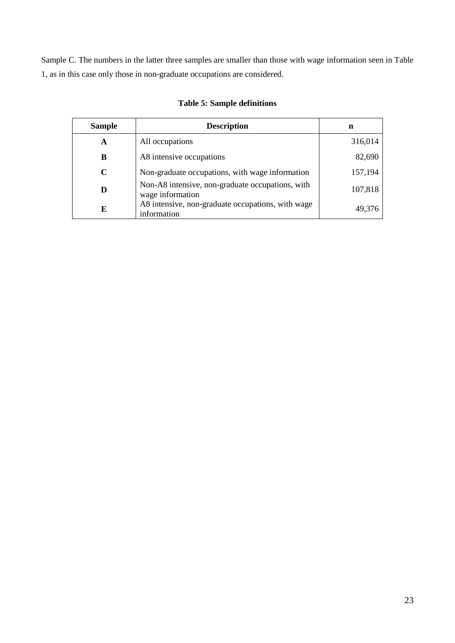Sample C. The numbers in the latter three samples are smaller than those with wage information seen in Table 1, as in this case only those in non-graduate occupations are considered.

| <b>Sample</b> | <b>Description</b>                                                   | n       |
|---------------|----------------------------------------------------------------------|---------|
| A             | All occupations                                                      | 316,014 |
| В             | A8 intensive occupations                                             | 82,690  |
| C             | Non-graduate occupations, with wage information                      | 157,194 |
| D             | Non-A8 intensive, non-graduate occupations, with<br>wage information | 107,818 |
| E             | A8 intensive, non-graduate occupations, with wage<br>information     | 49.376  |

### **Table 5: Sample definitions**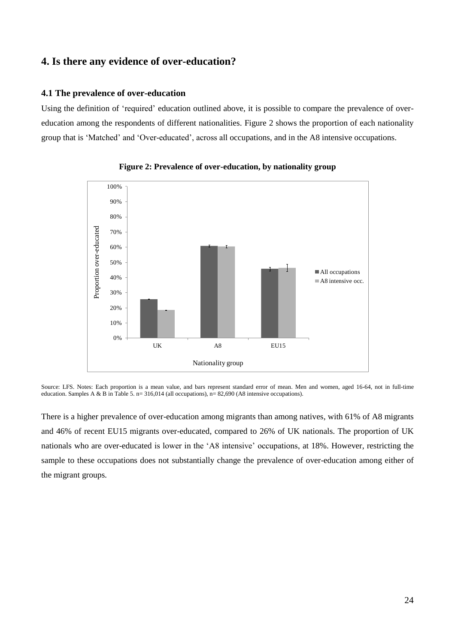## **4. Is there any evidence of over-education?**

### **4.1 The prevalence of over-education**

Using the definition of 'required' education outlined above, it is possible to compare the prevalence of overeducation among the respondents of different nationalities. Figure 2 shows the proportion of each nationality group that is 'Matched' and 'Over-educated', across all occupations, and in the A8 intensive occupations.





Source: LFS. Notes: Each proportion is a mean value, and bars represent standard error of mean. Men and women, aged 16-64, not in full-time education. Samples A & B in Table 5.  $n= 316,014$  (all occupations),  $n= 82,690$  (A8 intensive occupations).

There is a higher prevalence of over-education among migrants than among natives, with 61% of A8 migrants and 46% of recent EU15 migrants over-educated, compared to 26% of UK nationals. The proportion of UK nationals who are over-educated is lower in the 'A8 intensive' occupations, at 18%. However, restricting the sample to these occupations does not substantially change the prevalence of over-education among either of the migrant groups.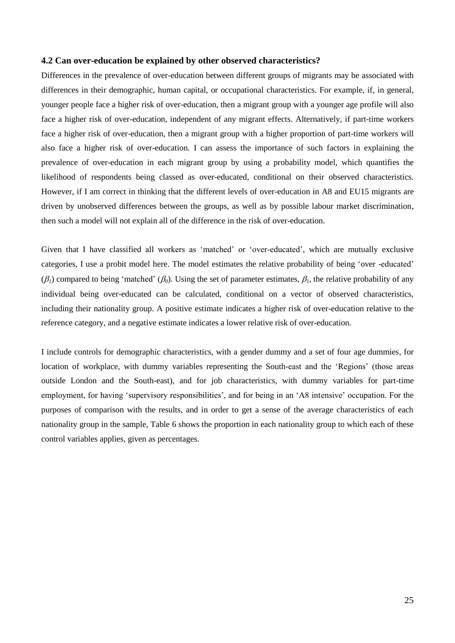#### **4.2 Can over-education be explained by other observed characteristics?**

Differences in the prevalence of over-education between different groups of migrants may be associated with differences in their demographic, human capital, or occupational characteristics. For example, if, in general, younger people face a higher risk of over-education, then a migrant group with a younger age profile will also face a higher risk of over-education, independent of any migrant effects. Alternatively, if part-time workers face a higher risk of over-education, then a migrant group with a higher proportion of part-time workers will also face a higher risk of over-education. I can assess the importance of such factors in explaining the prevalence of over-education in each migrant group by using a probability model, which quantifies the likelihood of respondents being classed as over-educated, conditional on their observed characteristics. However, if I am correct in thinking that the different levels of over-education in A8 and EU15 migrants are driven by unobserved differences between the groups, as well as by possible labour market discrimination, then such a model will not explain all of the difference in the risk of over-education.

Given that I have classified all workers as 'matched' or 'over-educated', which are mutually exclusive categories, I use a probit model here. The model estimates the relative probability of being 'over -educated'  $(\beta_1)$  compared to being 'matched'  $(\beta_0)$ . Using the set of parameter estimates,  $\beta_1$ , the relative probability of any individual being over-educated can be calculated, conditional on a vector of observed characteristics, including their nationality group. A positive estimate indicates a higher risk of over-education relative to the reference category, and a negative estimate indicates a lower relative risk of over-education.

I include controls for demographic characteristics, with a gender dummy and a set of four age dummies, for location of workplace, with dummy variables representing the South-east and the 'Regions' (those areas outside London and the South-east), and for job characteristics, with dummy variables for part-time employment, for having 'supervisory responsibilities', and for being in an 'A8 intensive' occupation. For the purposes of comparison with the results, and in order to get a sense of the average characteristics of each nationality group in the sample, Table 6 shows the proportion in each nationality group to which each of these control variables applies, given as percentages.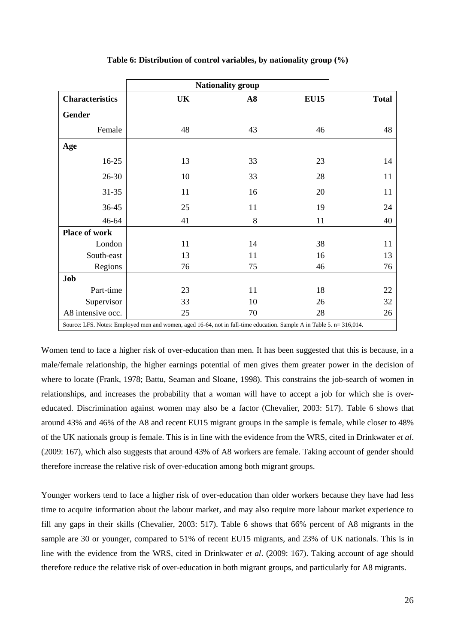|                        |                                                                                                                      | <b>Nationality group</b> |             |              |
|------------------------|----------------------------------------------------------------------------------------------------------------------|--------------------------|-------------|--------------|
| <b>Characteristics</b> | UK                                                                                                                   | $\mathbf{A8}$            | <b>EU15</b> | <b>Total</b> |
| <b>Gender</b>          |                                                                                                                      |                          |             |              |
| Female                 | 48                                                                                                                   | 43                       | 46          | 48           |
| Age                    |                                                                                                                      |                          |             |              |
| $16-25$                | 13                                                                                                                   | 33                       | 23          | 14           |
| $26 - 30$              | 10                                                                                                                   | 33                       | 28          | 11           |
| $31 - 35$              | 11                                                                                                                   | 16                       | 20          | 11           |
| 36-45                  | 25                                                                                                                   | 11                       | 19          | 24           |
| 46-64                  | 41                                                                                                                   | 8                        | 11          | 40           |
| <b>Place of work</b>   |                                                                                                                      |                          |             |              |
| London                 | 11                                                                                                                   | 14                       | 38          | 11           |
| South-east             | 13                                                                                                                   | 11                       | 16          | 13           |
| Regions                | 76                                                                                                                   | 75                       | 46          | 76           |
| Job                    |                                                                                                                      |                          |             |              |
| Part-time              | 23                                                                                                                   | 11                       | 18          | 22           |
| Supervisor             | 33                                                                                                                   | 10                       | 26          | 32           |
| A8 intensive occ.      | 25                                                                                                                   | 70                       | 28          | 26           |
|                        | Source: LFS. Notes: Employed men and women, aged 16-64, not in full-time education. Sample A in Table 5. n= 316,014. |                          |             |              |

#### **Table 6: Distribution of control variables, by nationality group (%)**

Women tend to face a higher risk of over-education than men. It has been suggested that this is because, in a male/female relationship, the higher earnings potential of men gives them greater power in the decision of where to locate (Frank, 1978; Battu, Seaman and Sloane, 1998). This constrains the job-search of women in relationships, and increases the probability that a woman will have to accept a job for which she is overeducated. Discrimination against women may also be a factor (Chevalier, 2003: 517). Table 6 shows that around 43% and 46% of the A8 and recent EU15 migrant groups in the sample is female, while closer to 48% of the UK nationals group is female. This is in line with the evidence from the WRS, cited in Drinkwater *et al*. (2009: 167), which also suggests that around 43% of A8 workers are female. Taking account of gender should therefore increase the relative risk of over-education among both migrant groups.

Younger workers tend to face a higher risk of over-education than older workers because they have had less time to acquire information about the labour market, and may also require more labour market experience to fill any gaps in their skills (Chevalier, 2003: 517). Table 6 shows that 66% percent of A8 migrants in the sample are 30 or younger, compared to 51% of recent EU15 migrants, and 23% of UK nationals. This is in line with the evidence from the WRS, cited in Drinkwater *et al*. (2009: 167). Taking account of age should therefore reduce the relative risk of over-education in both migrant groups, and particularly for A8 migrants.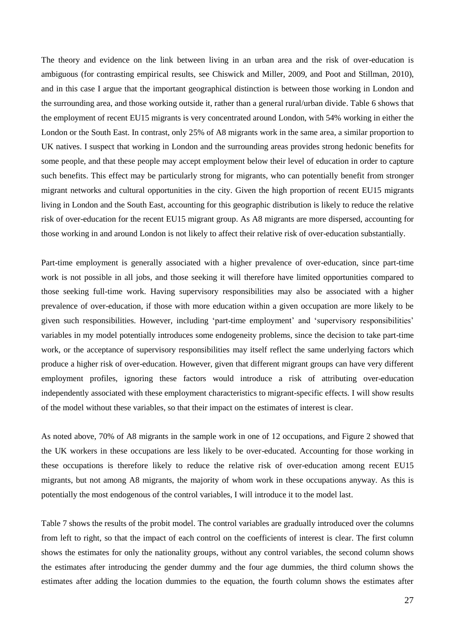The theory and evidence on the link between living in an urban area and the risk of over-education is ambiguous (for contrasting empirical results, see Chiswick and Miller, 2009, and Poot and Stillman, 2010), and in this case I argue that the important geographical distinction is between those working in London and the surrounding area, and those working outside it, rather than a general rural/urban divide. Table 6 shows that the employment of recent EU15 migrants is very concentrated around London, with 54% working in either the London or the South East. In contrast, only 25% of A8 migrants work in the same area, a similar proportion to UK natives. I suspect that working in London and the surrounding areas provides strong hedonic benefits for some people, and that these people may accept employment below their level of education in order to capture such benefits. This effect may be particularly strong for migrants, who can potentially benefit from stronger migrant networks and cultural opportunities in the city. Given the high proportion of recent EU15 migrants living in London and the South East, accounting for this geographic distribution is likely to reduce the relative risk of over-education for the recent EU15 migrant group. As A8 migrants are more dispersed, accounting for those working in and around London is not likely to affect their relative risk of over-education substantially.

Part-time employment is generally associated with a higher prevalence of over-education, since part-time work is not possible in all jobs, and those seeking it will therefore have limited opportunities compared to those seeking full-time work. Having supervisory responsibilities may also be associated with a higher prevalence of over-education, if those with more education within a given occupation are more likely to be given such responsibilities. However, including 'part-time employment' and 'supervisory responsibilities' variables in my model potentially introduces some endogeneity problems, since the decision to take part-time work, or the acceptance of supervisory responsibilities may itself reflect the same underlying factors which produce a higher risk of over-education. However, given that different migrant groups can have very different employment profiles, ignoring these factors would introduce a risk of attributing over-education independently associated with these employment characteristics to migrant-specific effects. I will show results of the model without these variables, so that their impact on the estimates of interest is clear.

As noted above, 70% of A8 migrants in the sample work in one of 12 occupations, and Figure 2 showed that the UK workers in these occupations are less likely to be over-educated. Accounting for those working in these occupations is therefore likely to reduce the relative risk of over-education among recent EU15 migrants, but not among A8 migrants, the majority of whom work in these occupations anyway. As this is potentially the most endogenous of the control variables, I will introduce it to the model last.

Table 7 shows the results of the probit model. The control variables are gradually introduced over the columns from left to right, so that the impact of each control on the coefficients of interest is clear. The first column shows the estimates for only the nationality groups, without any control variables, the second column shows the estimates after introducing the gender dummy and the four age dummies, the third column shows the estimates after adding the location dummies to the equation, the fourth column shows the estimates after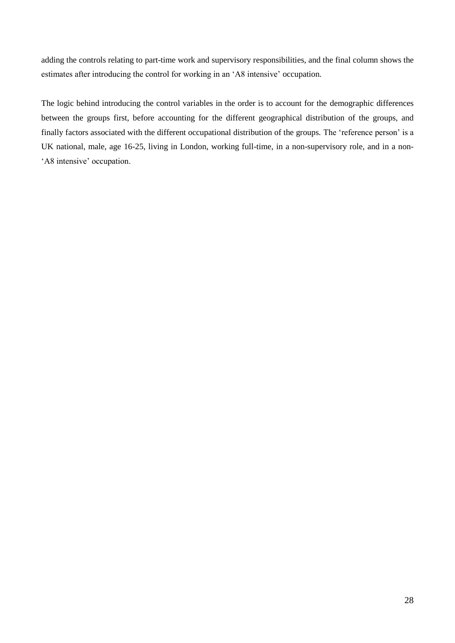adding the controls relating to part-time work and supervisory responsibilities, and the final column shows the estimates after introducing the control for working in an 'A8 intensive' occupation.

The logic behind introducing the control variables in the order is to account for the demographic differences between the groups first, before accounting for the different geographical distribution of the groups, and finally factors associated with the different occupational distribution of the groups. The 'reference person' is a UK national, male, age 16-25, living in London, working full-time, in a non-supervisory role, and in a non- 'A8 intensive' occupation.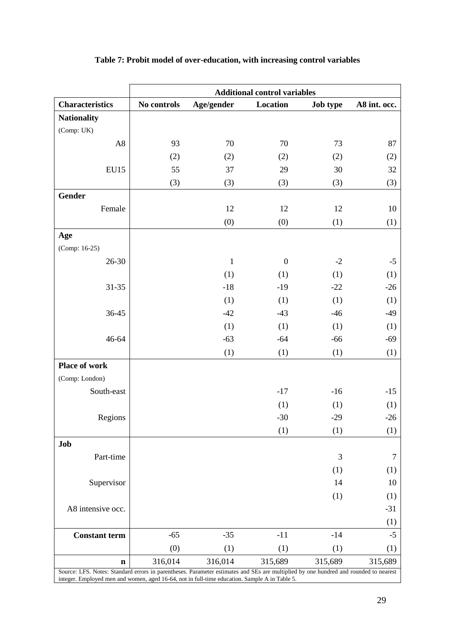|                                                                                                                                      | <b>Additional control variables</b> |             |                  |          |              |  |  |
|--------------------------------------------------------------------------------------------------------------------------------------|-------------------------------------|-------------|------------------|----------|--------------|--|--|
| <b>Characteristics</b>                                                                                                               | No controls                         | Age/gender  | Location         | Job type | A8 int. occ. |  |  |
| <b>Nationality</b>                                                                                                                   |                                     |             |                  |          |              |  |  |
| (Comp: UK)                                                                                                                           |                                     |             |                  |          |              |  |  |
| A8                                                                                                                                   | 93                                  | 70          | 70               | 73       | 87           |  |  |
|                                                                                                                                      | (2)                                 | (2)         | (2)              | (2)      | (2)          |  |  |
| <b>EU15</b>                                                                                                                          | 55                                  | 37          | 29               | 30       | 32           |  |  |
|                                                                                                                                      | (3)                                 | (3)         | (3)              | (3)      | (3)          |  |  |
| <b>Gender</b>                                                                                                                        |                                     |             |                  |          |              |  |  |
| Female                                                                                                                               |                                     | 12          | 12               | 12       | 10           |  |  |
|                                                                                                                                      |                                     | (0)         | (0)              | (1)      | (1)          |  |  |
| Age                                                                                                                                  |                                     |             |                  |          |              |  |  |
| (Comp: 16-25)                                                                                                                        |                                     |             |                  |          |              |  |  |
| 26-30                                                                                                                                |                                     | $\mathbf 1$ | $\boldsymbol{0}$ | $-2$     | $-5$         |  |  |
|                                                                                                                                      |                                     | (1)         | (1)              | (1)      | (1)          |  |  |
| $31 - 35$                                                                                                                            |                                     | $-18$       | $-19$            | $-22$    | $-26$        |  |  |
|                                                                                                                                      |                                     | (1)         | (1)              | (1)      | (1)          |  |  |
| 36-45                                                                                                                                |                                     | $-42$       | $-43$            | $-46$    | $-49$        |  |  |
|                                                                                                                                      |                                     | (1)         | (1)              | (1)      | (1)          |  |  |
| 46-64                                                                                                                                |                                     | $-63$       | $-64$            | $-66$    | $-69$        |  |  |
|                                                                                                                                      |                                     | (1)         | (1)              | (1)      | (1)          |  |  |
| Place of work                                                                                                                        |                                     |             |                  |          |              |  |  |
| (Comp: London)                                                                                                                       |                                     |             |                  |          |              |  |  |
| South-east                                                                                                                           |                                     |             | $-17$            | $-16$    | $-15$        |  |  |
|                                                                                                                                      |                                     |             | (1)              | (1)      | (1)          |  |  |
| Regions                                                                                                                              |                                     |             | $-30$            | $-29$    | $-26$        |  |  |
|                                                                                                                                      |                                     |             | (1)              | (1)      | (1)          |  |  |
| Job                                                                                                                                  |                                     |             |                  |          |              |  |  |
| Part-time                                                                                                                            |                                     |             |                  | 3        | 7            |  |  |
|                                                                                                                                      |                                     |             |                  | (1)      | (1)          |  |  |
| Supervisor                                                                                                                           |                                     |             |                  | 14       | 10           |  |  |
|                                                                                                                                      |                                     |             |                  | (1)      | (1)          |  |  |
| A8 intensive occ.                                                                                                                    |                                     |             |                  |          | $-31$        |  |  |
|                                                                                                                                      |                                     |             |                  |          | (1)          |  |  |
| <b>Constant term</b>                                                                                                                 | $-65$                               | $-35$       | $-11$            | $-14$    | $-5$         |  |  |
|                                                                                                                                      | (0)                                 | (1)         | (1)              | (1)      | (1)          |  |  |
| $\mathbf n$                                                                                                                          | 316,014                             | 316,014     | 315,689          | 315,689  | 315,689      |  |  |
| Source: LFS. Notes: Standard errors in parentheses. Parameter estimates and SEs are multiplied by one hundred and rounded to nearest |                                     |             |                  |          |              |  |  |

# **Table 7: Probit model of over-education, with increasing control variables**

Source: LFS. Notes: Standard errors in parentheses. Parameter estimates and SEs are multiplied by one hundred and rounded to nearest integer. Employed men and women, aged 16-64, not in full-time education. Sample A in Table 5.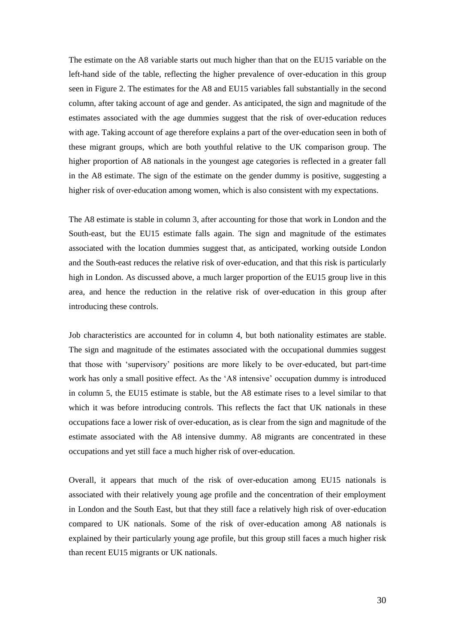The estimate on the A8 variable starts out much higher than that on the EU15 variable on the left-hand side of the table, reflecting the higher prevalence of over-education in this group seen in Figure 2. The estimates for the A8 and EU15 variables fall substantially in the second column, after taking account of age and gender. As anticipated, the sign and magnitude of the estimates associated with the age dummies suggest that the risk of over-education reduces with age. Taking account of age therefore explains a part of the over-education seen in both of these migrant groups, which are both youthful relative to the UK comparison group. The higher proportion of A8 nationals in the youngest age categories is reflected in a greater fall in the A8 estimate. The sign of the estimate on the gender dummy is positive, suggesting a higher risk of over-education among women, which is also consistent with my expectations.

The A8 estimate is stable in column 3, after accounting for those that work in London and the South-east, but the EU15 estimate falls again. The sign and magnitude of the estimates associated with the location dummies suggest that, as anticipated, working outside London and the South-east reduces the relative risk of over-education, and that this risk is particularly high in London. As discussed above, a much larger proportion of the EU15 group live in this area, and hence the reduction in the relative risk of over-education in this group after introducing these controls.

Job characteristics are accounted for in column 4, but both nationality estimates are stable. The sign and magnitude of the estimates associated with the occupational dummies suggest that those with 'supervisory' positions are more likely to be over-educated, but part-time work has only a small positive effect. As the 'A8 intensive' occupation dummy is introduced in column 5, the EU15 estimate is stable, but the A8 estimate rises to a level similar to that which it was before introducing controls. This reflects the fact that UK nationals in these occupations face a lower risk of over-education, as is clear from the sign and magnitude of the estimate associated with the A8 intensive dummy. A8 migrants are concentrated in these occupations and yet still face a much higher risk of over-education.

Overall, it appears that much of the risk of over-education among EU15 nationals is associated with their relatively young age profile and the concentration of their employment in London and the South East, but that they still face a relatively high risk of over-education compared to UK nationals. Some of the risk of over-education among A8 nationals is explained by their particularly young age profile, but this group still faces a much higher risk than recent EU15 migrants or UK nationals.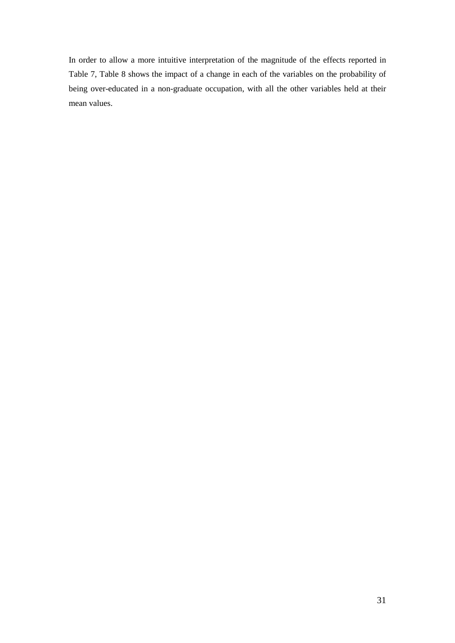In order to allow a more intuitive interpretation of the magnitude of the effects reported in Table 7, Table 8 shows the impact of a change in each of the variables on the probability of being over-educated in a non-graduate occupation, with all the other variables held at their mean values.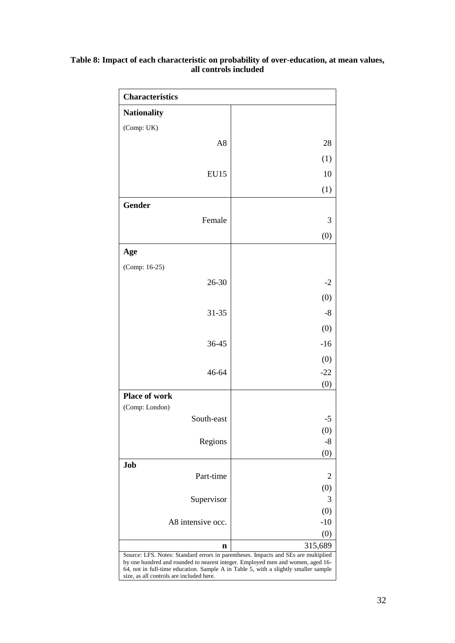| Table 8: Impact of each characteristic on probability of over-education, at mean values, |
|------------------------------------------------------------------------------------------|
| all controls included                                                                    |

| <b>Characteristics</b>                                                                                                                                                                                                                                                                                   |                |
|----------------------------------------------------------------------------------------------------------------------------------------------------------------------------------------------------------------------------------------------------------------------------------------------------------|----------------|
| <b>Nationality</b>                                                                                                                                                                                                                                                                                       |                |
| (Comp: UK)                                                                                                                                                                                                                                                                                               |                |
| A <sub>8</sub>                                                                                                                                                                                                                                                                                           | 28             |
|                                                                                                                                                                                                                                                                                                          | (1)            |
| <b>EU15</b>                                                                                                                                                                                                                                                                                              | 10             |
|                                                                                                                                                                                                                                                                                                          | (1)            |
| Gender                                                                                                                                                                                                                                                                                                   |                |
| Female                                                                                                                                                                                                                                                                                                   | 3              |
|                                                                                                                                                                                                                                                                                                          |                |
|                                                                                                                                                                                                                                                                                                          | (0)            |
| Age                                                                                                                                                                                                                                                                                                      |                |
| (Comp: 16-25)                                                                                                                                                                                                                                                                                            |                |
| 26-30                                                                                                                                                                                                                                                                                                    | $-2$           |
|                                                                                                                                                                                                                                                                                                          | (0)            |
| 31-35                                                                                                                                                                                                                                                                                                    | $-8$           |
|                                                                                                                                                                                                                                                                                                          | (0)            |
| 36-45                                                                                                                                                                                                                                                                                                    | $-16$          |
|                                                                                                                                                                                                                                                                                                          | (0)            |
| 46-64                                                                                                                                                                                                                                                                                                    | $-22$          |
|                                                                                                                                                                                                                                                                                                          | (0)            |
| Place of work<br>(Comp: London)                                                                                                                                                                                                                                                                          |                |
| South-east                                                                                                                                                                                                                                                                                               | $-5$           |
|                                                                                                                                                                                                                                                                                                          | (0)            |
| Regions                                                                                                                                                                                                                                                                                                  | -8             |
| Job                                                                                                                                                                                                                                                                                                      | (0)            |
| Part-time                                                                                                                                                                                                                                                                                                | $\overline{2}$ |
|                                                                                                                                                                                                                                                                                                          | (0)            |
| Supervisor                                                                                                                                                                                                                                                                                               | 3              |
| A8 intensive occ.                                                                                                                                                                                                                                                                                        | (0)<br>$-10$   |
|                                                                                                                                                                                                                                                                                                          | (0)            |
| n                                                                                                                                                                                                                                                                                                        | 315,689        |
| Source: LFS. Notes: Standard errors in parentheses. Impacts and SEs are multiplied<br>by one hundred and rounded to nearest integer. Employed men and women, aged 16-<br>64, not in full-time education. Sample A in Table 5, with a slightly smaller sample<br>size, as all controls are included here. |                |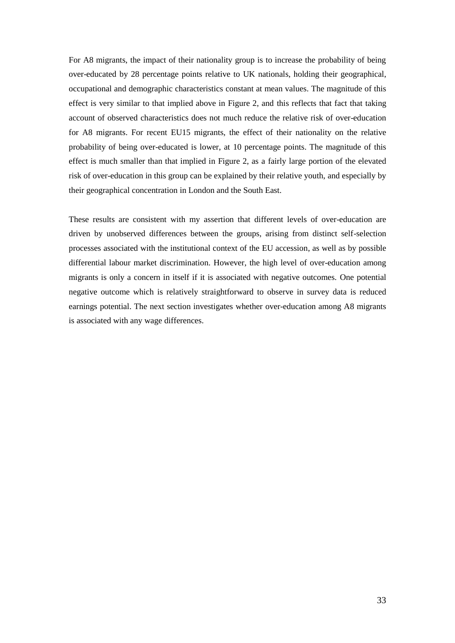For A8 migrants, the impact of their nationality group is to increase the probability of being over-educated by 28 percentage points relative to UK nationals, holding their geographical, occupational and demographic characteristics constant at mean values. The magnitude of this effect is very similar to that implied above in Figure 2, and this reflects that fact that taking account of observed characteristics does not much reduce the relative risk of over-education for A8 migrants. For recent EU15 migrants, the effect of their nationality on the relative probability of being over-educated is lower, at 10 percentage points. The magnitude of this effect is much smaller than that implied in Figure 2, as a fairly large portion of the elevated risk of over-education in this group can be explained by their relative youth, and especially by their geographical concentration in London and the South East.

These results are consistent with my assertion that different levels of over-education are driven by unobserved differences between the groups, arising from distinct self-selection processes associated with the institutional context of the EU accession, as well as by possible differential labour market discrimination. However, the high level of over-education among migrants is only a concern in itself if it is associated with negative outcomes. One potential negative outcome which is relatively straightforward to observe in survey data is reduced earnings potential. The next section investigates whether over-education among A8 migrants is associated with any wage differences.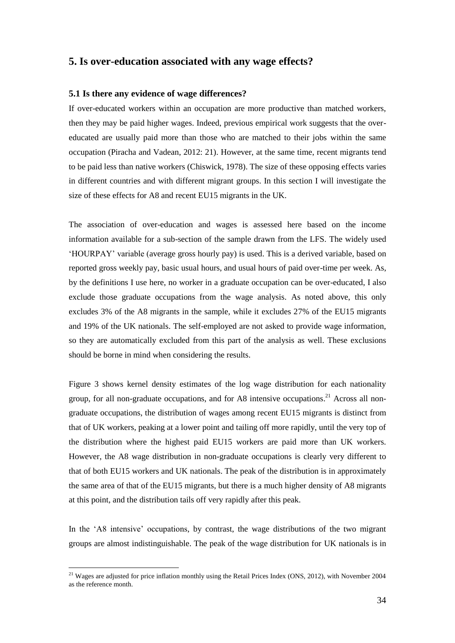### **5. Is over-education associated with any wage effects?**

### **5.1 Is there any evidence of wage differences?**

If over-educated workers within an occupation are more productive than matched workers, then they may be paid higher wages. Indeed, previous empirical work suggests that the overeducated are usually paid more than those who are matched to their jobs within the same occupation (Piracha and Vadean, 2012: 21). However, at the same time, recent migrants tend to be paid less than native workers (Chiswick, 1978). The size of these opposing effects varies in different countries and with different migrant groups. In this section I will investigate the size of these effects for A8 and recent EU15 migrants in the UK.

The association of over-education and wages is assessed here based on the income information available for a sub-section of the sample drawn from the LFS. The widely used 'HOURPAY' variable (average gross hourly pay) is used. This is a derived variable, based on reported gross weekly pay, basic usual hours, and usual hours of paid over-time per week. As, by the definitions I use here, no worker in a graduate occupation can be over-educated, I also exclude those graduate occupations from the wage analysis. As noted above, this only excludes 3% of the A8 migrants in the sample, while it excludes 27% of the EU15 migrants and 19% of the UK nationals. The self-employed are not asked to provide wage information, so they are automatically excluded from this part of the analysis as well. These exclusions should be borne in mind when considering the results.

Figure 3 shows kernel density estimates of the log wage distribution for each nationality group, for all non-graduate occupations, and for A8 intensive occupations.<sup>21</sup> Across all nongraduate occupations, the distribution of wages among recent EU15 migrants is distinct from that of UK workers, peaking at a lower point and tailing off more rapidly, until the very top of the distribution where the highest paid EU15 workers are paid more than UK workers. However, the A8 wage distribution in non-graduate occupations is clearly very different to that of both EU15 workers and UK nationals. The peak of the distribution is in approximately the same area of that of the EU15 migrants, but there is a much higher density of A8 migrants at this point, and the distribution tails off very rapidly after this peak.

In the 'A8 intensive' occupations, by contrast, the wage distributions of the two migrant groups are almost indistinguishable. The peak of the wage distribution for UK nationals is in

1

<sup>&</sup>lt;sup>21</sup> Wages are adjusted for price inflation monthly using the Retail Prices Index (ONS, 2012), with November 2004 as the reference month.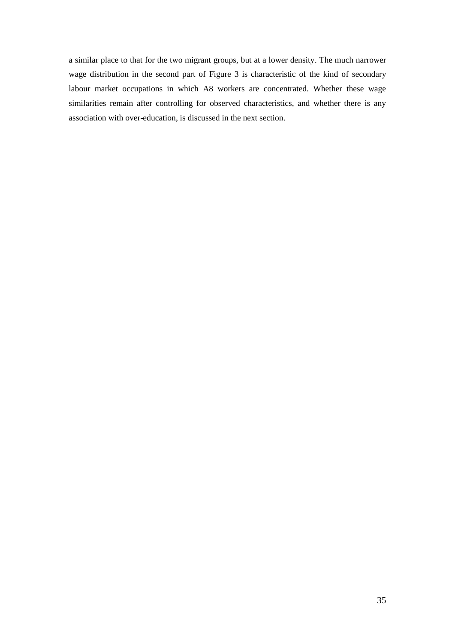a similar place to that for the two migrant groups, but at a lower density. The much narrower wage distribution in the second part of Figure 3 is characteristic of the kind of secondary labour market occupations in which A8 workers are concentrated. Whether these wage similarities remain after controlling for observed characteristics, and whether there is any association with over-education, is discussed in the next section.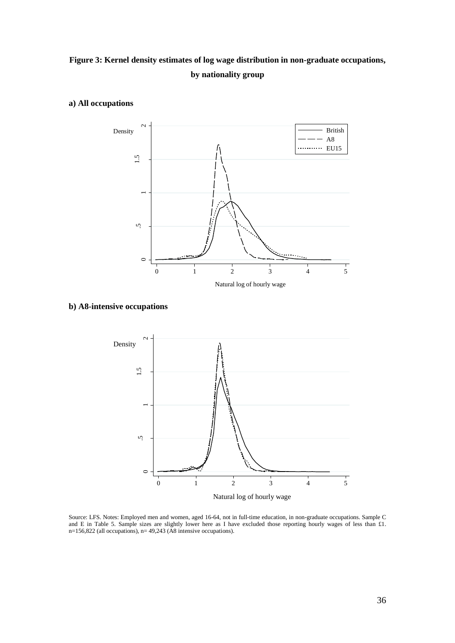# **Figure 3: Kernel density estimates of log wage distribution in non-graduate occupations, by nationality group**



### **a) All occupations**

### **b) A8-intensive occupations**



Source: LFS. Notes: Employed men and women, aged 16-64, not in full-time education, in non-graduate occupations. Sample C and E in Table 5. Sample sizes are slightly lower here as I have excluded those reporting hourly wages of less than £1. n=156,822 (all occupations), n= 49,243 (A8 intensive occupations).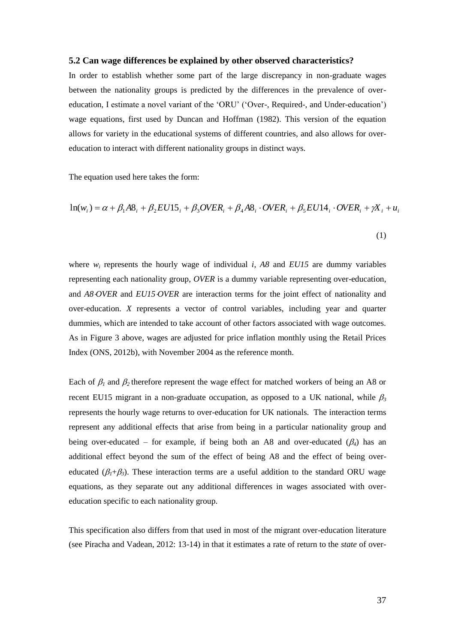#### **5.2 Can wage differences be explained by other observed characteristics?**

In order to establish whether some part of the large discrepancy in non-graduate wages between the nationality groups is predicted by the differences in the prevalence of overeducation, I estimate a novel variant of the 'ORU' ('Over-, Required-, and Under-education') wage equations, first used by Duncan and Hoffman (1982). This version of the equation allows for variety in the educational systems of different countries, and also allows for overeducation to interact with different nationality groups in distinct ways.

The equation used here takes the form:

$$
\ln(w_i) = \alpha + \beta_1 A \mathbf{8}_i + \beta_2 EU15_i + \beta_3 OVER_i + \beta_4 A \mathbf{8}_i \cdot OVER_i + \beta_5 EU14_i \cdot OVER_i + \gamma \mathbf{X}_i + \mathbf{u}_i
$$
\n(1)

where  $w_i$  represents the hourly wage of individual *i*,  $A\delta$  and  $EU/5$  are dummy variables representing each nationality group, *OVER* is a dummy variable representing over-education, and *A8OVER* and *EU15OVER* are interaction terms for the joint effect of nationality and over-education. *X* represents a vector of control variables, including year and quarter dummies, which are intended to take account of other factors associated with wage outcomes. As in Figure 3 above, wages are adjusted for price inflation monthly using the Retail Prices Index (ONS, 2012b), with November 2004 as the reference month.

Each of  $\beta_1$  and  $\beta_2$  therefore represent the wage effect for matched workers of being an A8 or recent EU15 migrant in a non-graduate occupation, as opposed to a UK national, while  $\beta_3$ represents the hourly wage returns to over-education for UK nationals. The interaction terms represent any additional effects that arise from being in a particular nationality group and being over-educated – for example, if being both an A8 and over-educated  $(\beta_4)$  has an additional effect beyond the sum of the effect of being A8 and the effect of being overeducated  $(\beta_1+\beta_3)$ . These interaction terms are a useful addition to the standard ORU wage equations, as they separate out any additional differences in wages associated with overeducation specific to each nationality group.

This specification also differs from that used in most of the migrant over-education literature (see Piracha and Vadean, 2012: 13-14) in that it estimates a rate of return to the *state* of over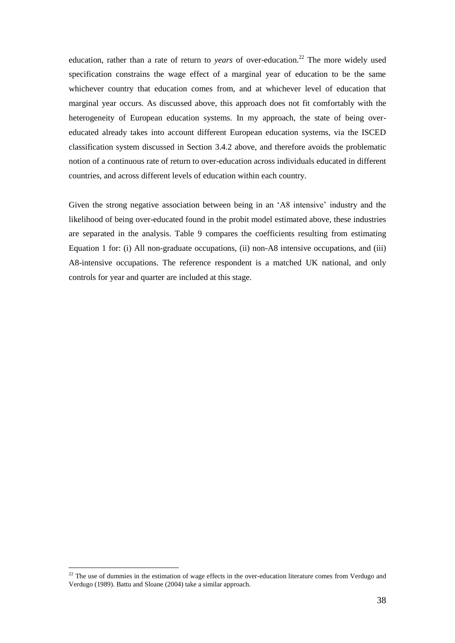education, rather than a rate of return to *years* of over-education.<sup>22</sup> The more widely used specification constrains the wage effect of a marginal year of education to be the same whichever country that education comes from, and at whichever level of education that marginal year occurs. As discussed above, this approach does not fit comfortably with the heterogeneity of European education systems. In my approach, the state of being overeducated already takes into account different European education systems, via the ISCED classification system discussed in Section 3.4.2 above, and therefore avoids the problematic notion of a continuous rate of return to over-education across individuals educated in different countries, and across different levels of education within each country.

Given the strong negative association between being in an 'A8 intensive' industry and the likelihood of being over-educated found in the probit model estimated above, these industries are separated in the analysis. Table 9 compares the coefficients resulting from estimating Equation 1 for: (i) All non-graduate occupations, (ii) non-A8 intensive occupations, and (iii) A8-intensive occupations. The reference respondent is a matched UK national, and only controls for year and quarter are included at this stage.

1

 $22$  The use of dummies in the estimation of wage effects in the over-education literature comes from Verdugo and Verdugo (1989). Battu and Sloane (2004) take a similar approach.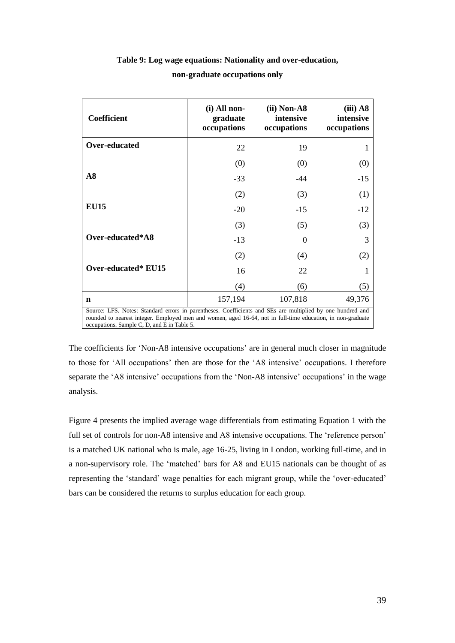| <b>Coefficient</b>                                                                                                                                                                                                                                                       | (i) All non-<br>graduate<br>occupations | $(ii) Non-AS$<br>intensive<br>occupations | $(iii)$ A8<br>intensive<br>occupations |  |  |
|--------------------------------------------------------------------------------------------------------------------------------------------------------------------------------------------------------------------------------------------------------------------------|-----------------------------------------|-------------------------------------------|----------------------------------------|--|--|
| Over-educated                                                                                                                                                                                                                                                            | 22                                      | 19                                        |                                        |  |  |
|                                                                                                                                                                                                                                                                          | (0)                                     | (0)                                       | (0)                                    |  |  |
| A8                                                                                                                                                                                                                                                                       | $-33$                                   | -44                                       | $-15$                                  |  |  |
|                                                                                                                                                                                                                                                                          | (2)                                     | (3)                                       | (1)                                    |  |  |
| <b>EU15</b>                                                                                                                                                                                                                                                              | $-20$                                   | $-15$                                     | $-12$                                  |  |  |
|                                                                                                                                                                                                                                                                          | (3)                                     | (5)                                       | (3)                                    |  |  |
| Over-educated*A8                                                                                                                                                                                                                                                         | $-13$                                   | $\theta$                                  | 3                                      |  |  |
|                                                                                                                                                                                                                                                                          | (2)                                     | (4)                                       | (2)                                    |  |  |
| Over-educated* EU15                                                                                                                                                                                                                                                      | 16                                      | 22                                        |                                        |  |  |
|                                                                                                                                                                                                                                                                          | (4)                                     | (6)                                       | (5)                                    |  |  |
| n                                                                                                                                                                                                                                                                        | 157,194                                 | 107,818                                   | 49,376                                 |  |  |
| Source: LFS. Notes: Standard errors in parentheses. Coefficients and SEs are multiplied by one hundred and<br>rounded to nearest integer. Employed men and women, aged 16-64, not in full-time education, in non-graduate<br>occupations. Sample C, D, and E in Table 5. |                                         |                                           |                                        |  |  |

# **Table 9: Log wage equations: Nationality and over-education, non-graduate occupations only**

The coefficients for 'Non-A8 intensive occupations' are in general much closer in magnitude to those for 'All occupations' then are those for the 'A8 intensive' occupations. I therefore separate the 'A8 intensive' occupations from the 'Non-A8 intensive' occupations' in the wage analysis.

Figure 4 presents the implied average wage differentials from estimating Equation 1 with the full set of controls for non-A8 intensive and A8 intensive occupations. The 'reference person' is a matched UK national who is male, age 16-25, living in London, working full-time, and in a non-supervisory role. The 'matched' bars for A8 and EU15 nationals can be thought of as representing the 'standard' wage penalties for each migrant group, while the 'over-educated' bars can be considered the returns to surplus education for each group.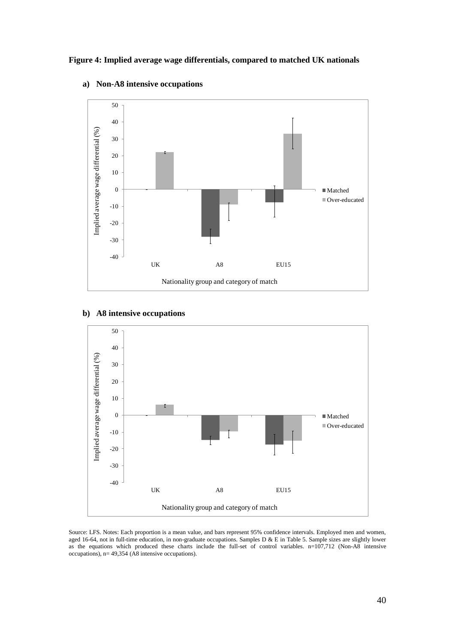**Figure 4: Implied average wage differentials, compared to matched UK nationals**



### **a) Non-A8 intensive occupations**

# **b) A8 intensive occupations**



Source: LFS. Notes: Each proportion is a mean value, and bars represent 95% confidence intervals. Employed men and women, aged 16-64, not in full-time education, in non-graduate occupations. Samples D & E in Table 5. Sample sizes are slightly lower as the equations which produced these charts include the full-set of control variables.  $n=107,712$  (Non-A8 intensive occupations), n= 49,354 (A8 intensive occupations).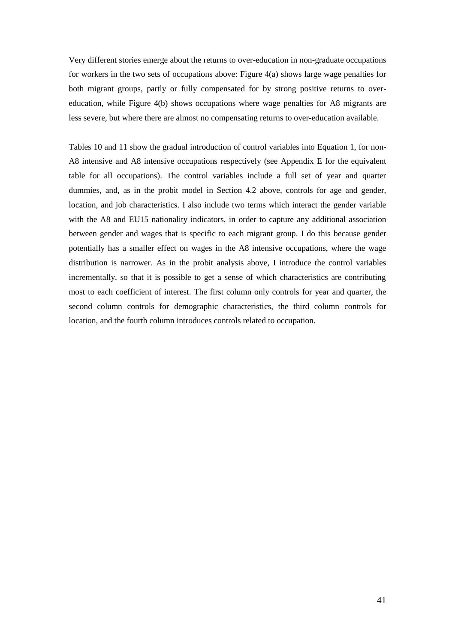Very different stories emerge about the returns to over-education in non-graduate occupations for workers in the two sets of occupations above: Figure 4(a) shows large wage penalties for both migrant groups, partly or fully compensated for by strong positive returns to overeducation, while Figure 4(b) shows occupations where wage penalties for A8 migrants are less severe, but where there are almost no compensating returns to over-education available.

Tables 10 and 11 show the gradual introduction of control variables into Equation 1, for non-A8 intensive and A8 intensive occupations respectively (see Appendix E for the equivalent table for all occupations). The control variables include a full set of year and quarter dummies, and, as in the probit model in Section 4.2 above, controls for age and gender, location, and job characteristics. I also include two terms which interact the gender variable with the A8 and EU15 nationality indicators, in order to capture any additional association between gender and wages that is specific to each migrant group. I do this because gender potentially has a smaller effect on wages in the A8 intensive occupations, where the wage distribution is narrower. As in the probit analysis above, I introduce the control variables incrementally, so that it is possible to get a sense of which characteristics are contributing most to each coefficient of interest. The first column only controls for year and quarter, the second column controls for demographic characteristics, the third column controls for location, and the fourth column introduces controls related to occupation.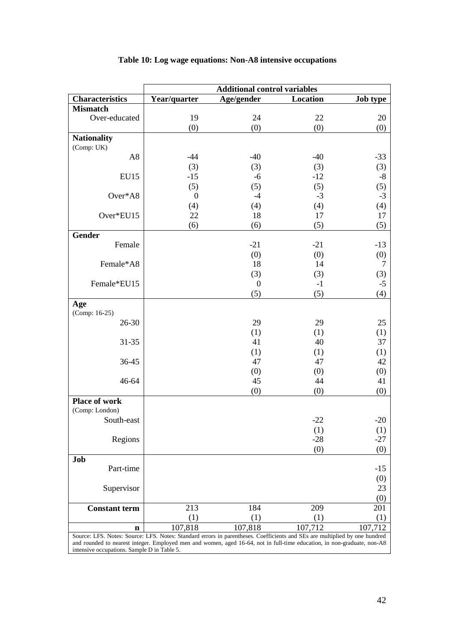# **Table 10: Log wage equations: Non-A8 intensive occupations**

|                                                                                                                                                                                                                                                                                                      | <b>Additional control variables</b> |                  |          |                 |  |  |
|------------------------------------------------------------------------------------------------------------------------------------------------------------------------------------------------------------------------------------------------------------------------------------------------------|-------------------------------------|------------------|----------|-----------------|--|--|
| <b>Characteristics</b>                                                                                                                                                                                                                                                                               | Year/quarter                        | Age/gender       | Location | <b>Job type</b> |  |  |
| <b>Mismatch</b>                                                                                                                                                                                                                                                                                      |                                     |                  |          |                 |  |  |
| Over-educated                                                                                                                                                                                                                                                                                        | 19                                  | 24               | 22       | 20              |  |  |
|                                                                                                                                                                                                                                                                                                      | (0)                                 | (0)              | (0)      | (0)             |  |  |
| <b>Nationality</b>                                                                                                                                                                                                                                                                                   |                                     |                  |          |                 |  |  |
| (Comp: UK)                                                                                                                                                                                                                                                                                           |                                     |                  |          |                 |  |  |
| A <sub>8</sub>                                                                                                                                                                                                                                                                                       | $-44$                               | $-40$            | $-40$    | $-33$           |  |  |
|                                                                                                                                                                                                                                                                                                      | (3)                                 | (3)              | (3)      | (3)             |  |  |
| <b>EU15</b>                                                                                                                                                                                                                                                                                          | $-15$                               | $-6$             | $-12$    | $-8$            |  |  |
|                                                                                                                                                                                                                                                                                                      | (5)                                 | (5)              | (5)      | (5)             |  |  |
| Over*A8                                                                                                                                                                                                                                                                                              | $\overline{0}$                      | $-4$             | $-3$     | $-3$            |  |  |
|                                                                                                                                                                                                                                                                                                      | (4)                                 | (4)              | (4)      | (4)             |  |  |
| Over*EU15                                                                                                                                                                                                                                                                                            | 22                                  | 18               | 17       | 17              |  |  |
|                                                                                                                                                                                                                                                                                                      | (6)                                 | (6)              | (5)      | (5)             |  |  |
| <b>Gender</b>                                                                                                                                                                                                                                                                                        |                                     |                  |          |                 |  |  |
| Female                                                                                                                                                                                                                                                                                               |                                     | $-21$            | $-21$    | $-13$           |  |  |
|                                                                                                                                                                                                                                                                                                      |                                     | (0)              | (0)      | (0)             |  |  |
| Female*A8                                                                                                                                                                                                                                                                                            |                                     | 18               | 14       | $\tau$          |  |  |
|                                                                                                                                                                                                                                                                                                      |                                     | (3)              | (3)      | (3)             |  |  |
| Female*EU15                                                                                                                                                                                                                                                                                          |                                     | $\boldsymbol{0}$ | $-1$     | $-5$            |  |  |
|                                                                                                                                                                                                                                                                                                      |                                     | (5)              | (5)      | (4)             |  |  |
| Age                                                                                                                                                                                                                                                                                                  |                                     |                  |          |                 |  |  |
| (Comp: 16-25)                                                                                                                                                                                                                                                                                        |                                     |                  |          |                 |  |  |
| 26-30                                                                                                                                                                                                                                                                                                |                                     | 29               | 29       | 25              |  |  |
|                                                                                                                                                                                                                                                                                                      |                                     | (1)              | (1)      | (1)             |  |  |
| $31 - 35$                                                                                                                                                                                                                                                                                            |                                     | 41               | 40       | 37              |  |  |
|                                                                                                                                                                                                                                                                                                      |                                     | (1)              | (1)      | (1)             |  |  |
| 36-45                                                                                                                                                                                                                                                                                                |                                     | 47               | 47       | 42              |  |  |
|                                                                                                                                                                                                                                                                                                      |                                     | (0)              | (0)      | (0)             |  |  |
| 46-64                                                                                                                                                                                                                                                                                                |                                     | 45               | 44       | 41              |  |  |
|                                                                                                                                                                                                                                                                                                      |                                     | (0)              | (0)      | (0)             |  |  |
| <b>Place of work</b>                                                                                                                                                                                                                                                                                 |                                     |                  |          |                 |  |  |
| (Comp: London)                                                                                                                                                                                                                                                                                       |                                     |                  |          |                 |  |  |
| South-east                                                                                                                                                                                                                                                                                           |                                     |                  | $-22$    | $-20$           |  |  |
|                                                                                                                                                                                                                                                                                                      |                                     |                  | (1)      | (1)             |  |  |
| Regions                                                                                                                                                                                                                                                                                              |                                     |                  | $-28$    | $-27$           |  |  |
|                                                                                                                                                                                                                                                                                                      |                                     |                  | (0)      | (0)             |  |  |
| Job                                                                                                                                                                                                                                                                                                  |                                     |                  |          |                 |  |  |
| Part-time                                                                                                                                                                                                                                                                                            |                                     |                  |          | $-15$           |  |  |
|                                                                                                                                                                                                                                                                                                      |                                     |                  |          | (0)             |  |  |
| Supervisor                                                                                                                                                                                                                                                                                           |                                     |                  |          | 23              |  |  |
|                                                                                                                                                                                                                                                                                                      |                                     |                  |          | (0)             |  |  |
| <b>Constant term</b>                                                                                                                                                                                                                                                                                 | 213                                 | 184              | 209      | 201             |  |  |
|                                                                                                                                                                                                                                                                                                      | (1)                                 | (1)              | (1)      | (1)             |  |  |
| n                                                                                                                                                                                                                                                                                                    | 107,818                             | 107,818          | 107,712  | 107,712         |  |  |
| Source: LFS. Notes: Source: LFS. Notes: Standard errors in parentheses. Coefficients and SEs are multiplied by one hundred<br>and rounded to nearest integer. Employed men and women, aged 16-64, not in full-time education, in non-graduate, non-A8<br>intensive occupations. Sample D in Table 5. |                                     |                  |          |                 |  |  |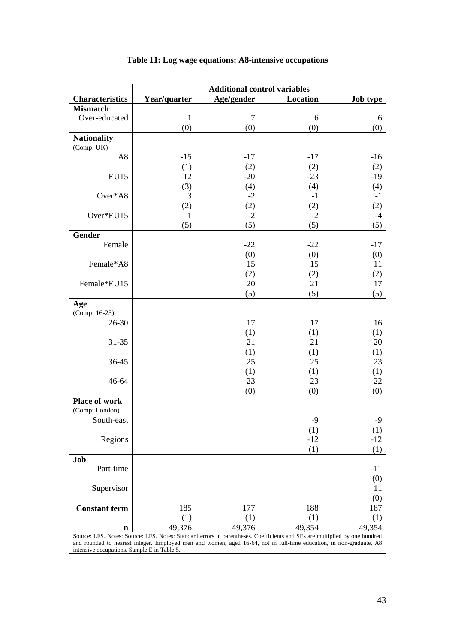|                                             | <b>Additional control variables</b>                                                                                        |                |          |                 |  |  |
|---------------------------------------------|----------------------------------------------------------------------------------------------------------------------------|----------------|----------|-----------------|--|--|
| <b>Characteristics</b>                      | Year/quarter                                                                                                               | Age/gender     | Location | <b>Job type</b> |  |  |
| <b>Mismatch</b>                             |                                                                                                                            |                |          |                 |  |  |
| Over-educated                               | $\mathbf{1}$                                                                                                               | $\overline{7}$ | 6        | 6               |  |  |
|                                             | (0)                                                                                                                        | (0)            | (0)      | (0)             |  |  |
| <b>Nationality</b>                          |                                                                                                                            |                |          |                 |  |  |
| (Comp: UK)                                  |                                                                                                                            |                |          |                 |  |  |
| A <sub>8</sub>                              | $-15$                                                                                                                      | $-17$          | $-17$    | $-16$           |  |  |
|                                             | (1)                                                                                                                        | (2)            | (2)      | (2)             |  |  |
| EU15                                        | $-12$                                                                                                                      | $-20$          | $-23$    | $-19$           |  |  |
|                                             | (3)                                                                                                                        | (4)            | (4)      | (4)             |  |  |
| Over*A8                                     | 3                                                                                                                          | $-2$           | $-1$     | $-1$            |  |  |
|                                             | (2)                                                                                                                        | (2)            | (2)      | (2)             |  |  |
| Over*EU15                                   | 1                                                                                                                          | $-2$           | $-2$     | $-4$            |  |  |
|                                             | (5)                                                                                                                        | (5)            | (5)      | (5)             |  |  |
| <b>Gender</b>                               |                                                                                                                            |                |          |                 |  |  |
| Female                                      |                                                                                                                            | $-22$          | $-22$    | $-17$           |  |  |
|                                             |                                                                                                                            | (0)            | (0)      | (0)             |  |  |
| Female*A8                                   |                                                                                                                            | 15             | 15       | 11              |  |  |
|                                             |                                                                                                                            | (2)            | (2)      | (2)             |  |  |
| Female*EU15                                 |                                                                                                                            | 20             | 21       | 17              |  |  |
|                                             |                                                                                                                            | (5)            | (5)      | (5)             |  |  |
| Age                                         |                                                                                                                            |                |          |                 |  |  |
| (Comp: 16-25)                               |                                                                                                                            |                |          |                 |  |  |
| 26-30                                       |                                                                                                                            | 17             | 17       | 16              |  |  |
|                                             |                                                                                                                            | (1)            | (1)      | (1)             |  |  |
| $31 - 35$                                   |                                                                                                                            | 21             | 21       | 20              |  |  |
|                                             |                                                                                                                            | (1)            | (1)      | (1)             |  |  |
| 36-45                                       |                                                                                                                            | 25             | 25       | 23              |  |  |
|                                             |                                                                                                                            | (1)            | (1)      | (1)             |  |  |
| 46-64                                       |                                                                                                                            | 23             | 23       | 22              |  |  |
|                                             |                                                                                                                            | (0)            | (0)      | (0)             |  |  |
| <b>Place of work</b>                        |                                                                                                                            |                |          |                 |  |  |
| (Comp: London)                              |                                                                                                                            |                |          |                 |  |  |
| South-east                                  |                                                                                                                            |                | $-9$     | $-9$            |  |  |
|                                             |                                                                                                                            |                | (1)      | (1)             |  |  |
| Regions                                     |                                                                                                                            |                | $-12$    | $-12$           |  |  |
|                                             |                                                                                                                            |                | (1)      | (1)             |  |  |
| Job                                         |                                                                                                                            |                |          |                 |  |  |
| Part-time                                   |                                                                                                                            |                |          | $-11$           |  |  |
|                                             |                                                                                                                            |                |          | (0)             |  |  |
| Supervisor                                  |                                                                                                                            |                |          | 11              |  |  |
|                                             |                                                                                                                            |                |          | (0)             |  |  |
| <b>Constant term</b>                        | 185                                                                                                                        | 177            | 188      | 187             |  |  |
|                                             | (1)                                                                                                                        | (1)            | (1)      | (1)             |  |  |
| $\mathbf n$                                 | 49,376                                                                                                                     | 49,376         | 49,354   | 49,354          |  |  |
|                                             | Source: LFS. Notes: Source: LFS. Notes: Standard errors in parentheses. Coefficients and SEs are multiplied by one hundred |                |          |                 |  |  |
|                                             | and rounded to nearest integer. Employed men and women, aged 16-64, not in full-time education, in non-graduate, A8        |                |          |                 |  |  |
| intensive occupations. Sample E in Table 5. |                                                                                                                            |                |          |                 |  |  |

# **Table 11: Log wage equations: A8-intensive occupations**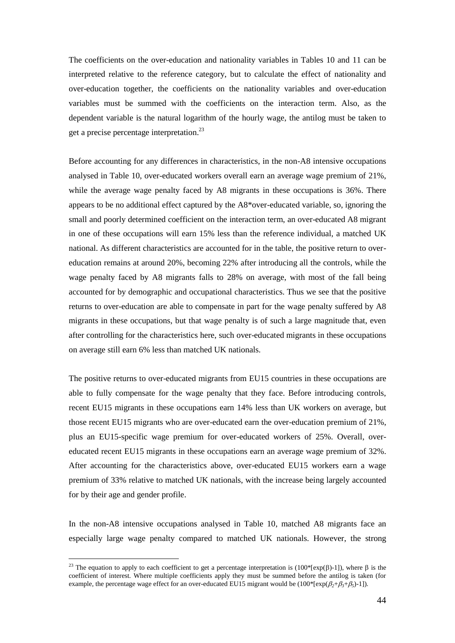The coefficients on the over-education and nationality variables in Tables 10 and 11 can be interpreted relative to the reference category, but to calculate the effect of nationality and over-education together, the coefficients on the nationality variables and over-education variables must be summed with the coefficients on the interaction term. Also, as the dependent variable is the natural logarithm of the hourly wage, the antilog must be taken to get a precise percentage interpretation.<sup>23</sup>

Before accounting for any differences in characteristics, in the non-A8 intensive occupations analysed in Table 10, over-educated workers overall earn an average wage premium of 21%, while the average wage penalty faced by A8 migrants in these occupations is 36%. There appears to be no additional effect captured by the A8\*over-educated variable, so, ignoring the small and poorly determined coefficient on the interaction term, an over-educated A8 migrant in one of these occupations will earn 15% less than the reference individual, a matched UK national. As different characteristics are accounted for in the table, the positive return to overeducation remains at around 20%, becoming 22% after introducing all the controls, while the wage penalty faced by A8 migrants falls to 28% on average, with most of the fall being accounted for by demographic and occupational characteristics. Thus we see that the positive returns to over-education are able to compensate in part for the wage penalty suffered by A8 migrants in these occupations, but that wage penalty is of such a large magnitude that, even after controlling for the characteristics here, such over-educated migrants in these occupations on average still earn 6% less than matched UK nationals.

The positive returns to over-educated migrants from EU15 countries in these occupations are able to fully compensate for the wage penalty that they face. Before introducing controls, recent EU15 migrants in these occupations earn 14% less than UK workers on average, but those recent EU15 migrants who are over-educated earn the over-education premium of 21%, plus an EU15-specific wage premium for over-educated workers of 25%. Overall, overeducated recent EU15 migrants in these occupations earn an average wage premium of 32%. After accounting for the characteristics above, over-educated EU15 workers earn a wage premium of 33% relative to matched UK nationals, with the increase being largely accounted for by their age and gender profile.

In the non-A8 intensive occupations analysed in Table 10, matched A8 migrants face an especially large wage penalty compared to matched UK nationals. However, the strong

<u>.</u>

<sup>&</sup>lt;sup>23</sup> The equation to apply to each coefficient to get a percentage interpretation is (100\*[exp( $\beta$ )-1]), where  $\beta$  is the coefficient of interest. Where multiple coefficients apply they must be summed before the antilog is taken (for example, the percentage wage effect for an over-educated EU15 migrant would be  $(100^*$ [ $exp(\beta_2+\beta_3+\beta_5)-1)$ ].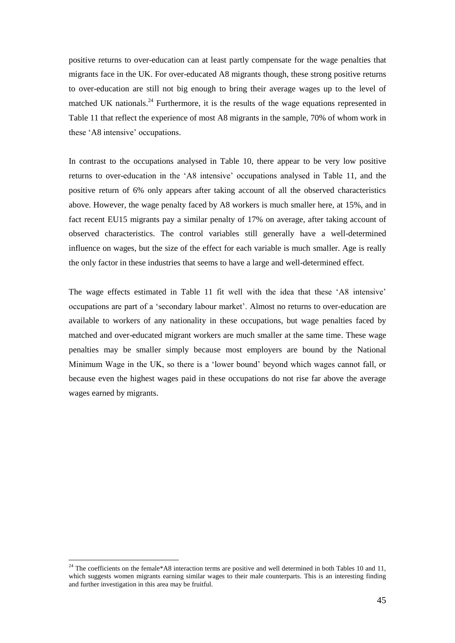positive returns to over-education can at least partly compensate for the wage penalties that migrants face in the UK. For over-educated A8 migrants though, these strong positive returns to over-education are still not big enough to bring their average wages up to the level of matched UK nationals.<sup>24</sup> Furthermore, it is the results of the wage equations represented in Table 11 that reflect the experience of most A8 migrants in the sample, 70% of whom work in these 'A8 intensive' occupations.

In contrast to the occupations analysed in Table 10, there appear to be very low positive returns to over-education in the 'A8 intensive' occupations analysed in Table 11, and the positive return of 6% only appears after taking account of all the observed characteristics above. However, the wage penalty faced by A8 workers is much smaller here, at 15%, and in fact recent EU15 migrants pay a similar penalty of 17% on average, after taking account of observed characteristics. The control variables still generally have a well-determined influence on wages, but the size of the effect for each variable is much smaller. Age is really the only factor in these industries that seems to have a large and well-determined effect.

The wage effects estimated in Table 11 fit well with the idea that these 'A8 intensive' occupations are part of a 'secondary labour market'. Almost no returns to over-education are available to workers of any nationality in these occupations, but wage penalties faced by matched and over-educated migrant workers are much smaller at the same time. These wage penalties may be smaller simply because most employers are bound by the National Minimum Wage in the UK, so there is a 'lower bound' beyond which wages cannot fall, or because even the highest wages paid in these occupations do not rise far above the average wages earned by migrants.

1

<sup>&</sup>lt;sup>24</sup> The coefficients on the female\*A8 interaction terms are positive and well determined in both Tables 10 and 11, which suggests women migrants earning similar wages to their male counterparts. This is an interesting finding and further investigation in this area may be fruitful.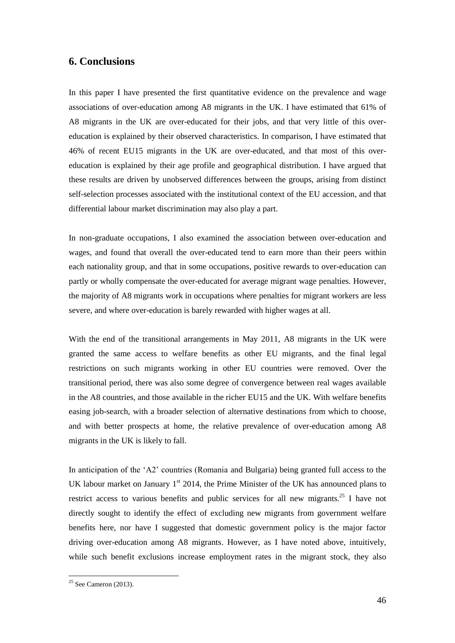### **6. Conclusions**

In this paper I have presented the first quantitative evidence on the prevalence and wage associations of over-education among A8 migrants in the UK. I have estimated that 61% of A8 migrants in the UK are over-educated for their jobs, and that very little of this overeducation is explained by their observed characteristics. In comparison, I have estimated that 46% of recent EU15 migrants in the UK are over-educated, and that most of this overeducation is explained by their age profile and geographical distribution. I have argued that these results are driven by unobserved differences between the groups, arising from distinct self-selection processes associated with the institutional context of the EU accession, and that differential labour market discrimination may also play a part.

In non-graduate occupations, I also examined the association between over-education and wages, and found that overall the over-educated tend to earn more than their peers within each nationality group, and that in some occupations, positive rewards to over-education can partly or wholly compensate the over-educated for average migrant wage penalties. However, the majority of A8 migrants work in occupations where penalties for migrant workers are less severe, and where over-education is barely rewarded with higher wages at all.

With the end of the transitional arrangements in May 2011, A8 migrants in the UK were granted the same access to welfare benefits as other EU migrants, and the final legal restrictions on such migrants working in other EU countries were removed. Over the transitional period, there was also some degree of convergence between real wages available in the A8 countries, and those available in the richer EU15 and the UK. With welfare benefits easing job-search, with a broader selection of alternative destinations from which to choose, and with better prospects at home, the relative prevalence of over-education among A8 migrants in the UK is likely to fall.

In anticipation of the 'A2' countries (Romania and Bulgaria) being granted full access to the UK labour market on January  $1<sup>st</sup>$  2014, the Prime Minister of the UK has announced plans to restrict access to various benefits and public services for all new migrants.<sup>25</sup> I have not directly sought to identify the effect of excluding new migrants from government welfare benefits here, nor have I suggested that domestic government policy is the major factor driving over-education among A8 migrants. However, as I have noted above, intuitively, while such benefit exclusions increase employment rates in the migrant stock, they also

<u>.</u>

 $25$  See Cameron (2013).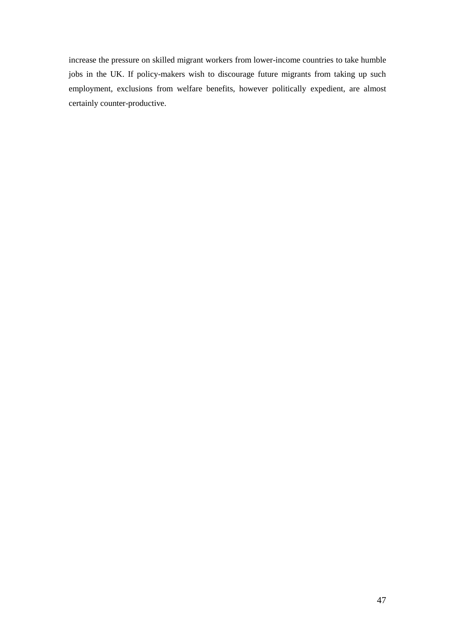increase the pressure on skilled migrant workers from lower-income countries to take humble jobs in the UK. If policy-makers wish to discourage future migrants from taking up such employment, exclusions from welfare benefits, however politically expedient, are almost certainly counter-productive.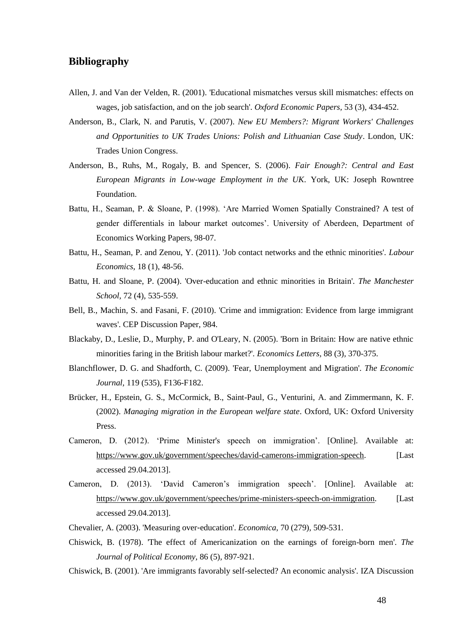### **Bibliography**

- Allen, J. and Van der Velden, R. (2001). 'Educational mismatches versus skill mismatches: effects on wages, job satisfaction, and on the job search'. *Oxford Economic Papers,* 53 (3)*,* 434-452.
- Anderson, B., Clark, N. and Parutis, V. (2007). *New EU Members?: Migrant Workers' Challenges and Opportunities to UK Trades Unions: Polish and Lithuanian Case Study*. London, UK: Trades Union Congress.
- Anderson, B., Ruhs, M., Rogaly, B. and Spencer, S. (2006). *Fair Enough?: Central and East European Migrants in Low-wage Employment in the UK*. York, UK: Joseph Rowntree Foundation.
- Battu, H., Seaman, P. & Sloane, P. (1998). 'Are Married Women Spatially Constrained? A test of gender differentials in labour market outcomes'. University of Aberdeen, Department of Economics Working Papers, 98-07.
- Battu, H., Seaman, P. and Zenou, Y. (2011). 'Job contact networks and the ethnic minorities'. *Labour Economics,* 18 (1)*,* 48-56.
- Battu, H. and Sloane, P. (2004). 'Over-education and ethnic minorities in Britain'. *The Manchester School,* 72 (4)*,* 535-559.
- Bell, B., Machin, S. and Fasani, F. (2010). 'Crime and immigration: Evidence from large immigrant waves'. CEP Discussion Paper, 984.
- Blackaby, D., Leslie, D., Murphy, P. and O'Leary, N. (2005). 'Born in Britain: How are native ethnic minorities faring in the British labour market?'. *Economics Letters,* 88 (3)*,* 370-375.
- Blanchflower, D. G. and Shadforth, C. (2009). 'Fear, Unemployment and Migration'. *The Economic Journal,* 119 (535)*,* F136-F182.
- Brücker, H., Epstein, G. S., McCormick, B., Saint-Paul, G., Venturini, A. and Zimmermann, K. F. (2002). *Managing migration in the European welfare state*. Oxford, UK: Oxford University Press.
- Cameron, D. (2012). 'Prime Minister's speech on immigration'. [Online]. Available at: https://www.gov.uk/government/speeches/david-camerons-immigration-speech. [Last accessed 29.04.2013].
- Cameron, D. (2013). 'David Cameron's immigration speech'. [Online]. Available at: https://www.gov.uk/government/speeches/prime-ministers-speech-on-immigration. [Last accessed 29.04.2013].
- Chevalier, A. (2003). 'Measuring over-education'. *Economica,* 70 (279)*,* 509-531.
- Chiswick, B. (1978). 'The effect of Americanization on the earnings of foreign-born men'. *The Journal of Political Economy,* 86 (5)*,* 897-921.
- Chiswick, B. (2001). 'Are immigrants favorably self-selected? An economic analysis'. IZA Discussion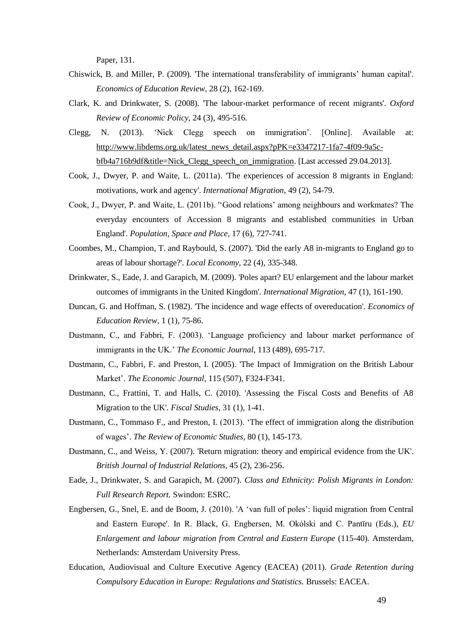Paper, 131.

- Chiswick, B. and Miller, P. (2009). 'The international transferability of immigrants' human capital'. *Economics of Education Review,* 28 (2)*,* 162-169.
- Clark, K. and Drinkwater, S. (2008). 'The labour-market performance of recent migrants'. *Oxford Review of Economic Policy,* 24 (3)*,* 495-516.
- Clegg, N. (2013). 'Nick Clegg speech on immigration'. [Online]. Available at: http://www.libdems.org.uk/latest\_news\_detail.aspx?pPK=e3347217-1fa7-4f09-9a5cbfb4a716b9df&title=Nick\_Clegg\_speech\_on\_immigration. [Last accessed 29.04.2013].
- Cook, J., Dwyer, P. and Waite, L. (2011a). 'The experiences of accession 8 migrants in England: motivations, work and agency'. *International Migration,* 49 (2)*,* 54-79.
- Cook, J., Dwyer, P. and Waite, L. (2011b). ''Good relations' among neighbours and workmates? The everyday encounters of Accession 8 migrants and established communities in Urban England'. *Population, Space and Place,* 17 (6)*,* 727-741.
- Coombes, M., Champion, T. and Raybould, S. (2007). 'Did the early A8 in-migrants to England go to areas of labour shortage?'. *Local Economy,* 22 (4)*,* 335-348.
- Drinkwater, S., Eade, J. and Garapich, M. (2009). 'Poles apart? EU enlargement and the labour market outcomes of immigrants in the United Kingdom'. *International Migration,* 47 (1)*,* 161-190.
- Duncan, G. and Hoffman, S. (1982). 'The incidence and wage effects of overeducation'. *Economics of Education Review,* 1 (1)*,* 75-86.
- Dustmann, C., and Fabbri, F. (2003). 'Language proficiency and labour market performance of immigrants in the UK.' *The Economic Journal*, 113 (489), 695-717.
- Dustmann, C., Fabbri, F. and Preston, I. (2005). 'The Impact of Immigration on the British Labour Market'. *The Economic Journal,* 115 (507)*,* F324-F341.
- Dustmann, C., Frattini, T. and Halls, C. (2010). 'Assessing the Fiscal Costs and Benefits of A8 Migration to the UK'. *Fiscal Studies,* 31 (1)*,* 1-41.
- Dustmann, C., Tommaso F., and Preston, I. (2013). 'The effect of immigration along the distribution of wages'. *The Review of Economic Studies,* 80 (1), 145-173.
- Dustmann, C., and Weiss, Y. (2007). 'Return migration: theory and empirical evidence from the UK'. *British Journal of Industrial Relations,* 45 (2)*,* 236-256.
- Eade, J., Drinkwater, S. and Garapich, M. (2007). *Class and Ethnicity: Polish Migrants in London: Full Research Report.* Swindon: ESRC.
- Engbersen, G., Snel, E. and de Boom, J. (2010). 'A 'van full of poles': liquid migration from Central and Eastern Europe'. In R. Black, G. Engbersen, M. Okólski and C. Pantīru (Eds.), *EU Enlargement and labour migration from Central and Eastern Europe* (115-40). Amsterdam, Netherlands: Amsterdam University Press.
- Education, Audiovisual and Culture Executive Agency (EACEA) (2011). *Grade Retention during Compulsory Education in Europe: Regulations and Statistics.* Brussels: EACEA.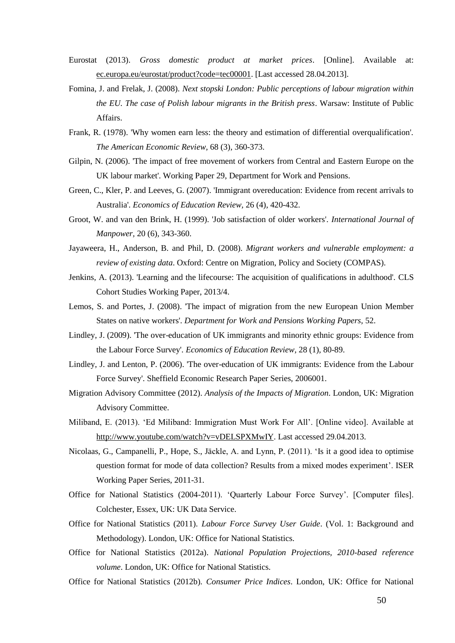- Eurostat (2013). *Gross domestic product at market prices*. [Online]. Available at: ec.europa.eu/eurostat/product?code=tec00001. [Last accessed 28.04.2013].
- Fomina, J. and Frelak, J. (2008). *Next stopski London: Public perceptions of labour migration within the EU. The case of Polish labour migrants in the British press*. Warsaw: Institute of Public Affairs.
- Frank, R. (1978). 'Why women earn less: the theory and estimation of differential overqualification'. *The American Economic Review,* 68 (3)*,* 360-373.
- Gilpin, N. (2006). 'The impact of free movement of workers from Central and Eastern Europe on the UK labour market'. Working Paper 29, Department for Work and Pensions.
- Green, C., Kler, P. and Leeves, G. (2007). 'Immigrant overeducation: Evidence from recent arrivals to Australia'. *Economics of Education Review,* 26 (4)*,* 420-432.
- Groot, W. and van den Brink, H. (1999). 'Job satisfaction of older workers'. *International Journal of Manpower,* 20 (6)*,* 343-360.
- Jayaweera, H., Anderson, B. and Phil, D. (2008). *Migrant workers and vulnerable employment: a review of existing data*. Oxford: Centre on Migration, Policy and Society (COMPAS).
- Jenkins, A. (2013). 'Learning and the lifecourse: The acquisition of qualifications in adulthood'. CLS Cohort Studies Working Paper, 2013/4.
- Lemos, S. and Portes, J. (2008). 'The impact of migration from the new European Union Member States on native workers'. *Department for Work and Pensions Working Papers,* 52.
- Lindley, J. (2009). 'The over-education of UK immigrants and minority ethnic groups: Evidence from the Labour Force Survey'. *Economics of Education Review,* 28 (1)*,* 80-89.
- Lindley, J. and Lenton, P. (2006). 'The over-education of UK immigrants: Evidence from the Labour Force Survey'. Sheffield Economic Research Paper Series, 2006001.
- Migration Advisory Committee (2012). *Analysis of the Impacts of Migration*. London, UK: Migration Advisory Committee.
- Miliband, E. (2013). 'Ed Miliband: Immigration Must Work For All'. [Online video]. Available at http://www.youtube.com/watch?v=vDELSPXMwIY. Last accessed 29.04.2013.
- Nicolaas, G., Campanelli, P., Hope, S., Jäckle, A. and Lynn, P. (2011). 'Is it a good idea to optimise question format for mode of data collection? Results from a mixed modes experiment'. ISER Working Paper Series, 2011-31.
- Office for National Statistics (2004-2011). 'Quarterly Labour Force Survey'. [Computer files]. Colchester, Essex, UK: UK Data Service.
- Office for National Statistics (2011). *Labour Force Survey User Guide*. (Vol. 1: Background and Methodology). London, UK: Office for National Statistics.
- Office for National Statistics (2012a). *National Population Projections, 2010-based reference volume*. London, UK: Office for National Statistics.
- Office for National Statistics (2012b). *Consumer Price Indices*. London, UK: Office for National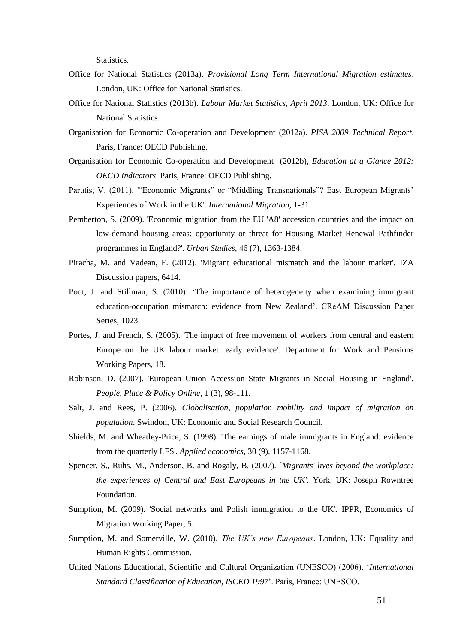Statistics.

- Office for National Statistics (2013a). *Provisional Long Term International Migration estimates*. London, UK: Office for National Statistics.
- Office for National Statistics (2013b). *Labour Market Statistics, April 2013*. London, UK: Office for National Statistics.
- Organisation for Economic Co-operation and Development (2012a). *PISA 2009 Technical Report*. Paris, France: OECD Publishing.
- Organisation for Economic Co-operation and Development (2012b), *Education at a Glance 2012: OECD Indicators*. Paris, France: OECD Publishing.
- Parutis, V. (2011). '"Economic Migrants" or "Middling Transnationals"? East European Migrants' Experiences of Work in the UK'. *International Migration,* 1-31.
- Pemberton, S. (2009). 'Economic migration from the EU 'A8' accession countries and the impact on low-demand housing areas: opportunity or threat for Housing Market Renewal Pathfinder programmes in England?'. *Urban Studies,* 46 (7)*,* 1363-1384.
- Piracha, M. and Vadean, F. (2012). 'Migrant educational mismatch and the labour market'. IZA Discussion papers, 6414.
- Poot, J. and Stillman, S. (2010). 'The importance of heterogeneity when examining immigrant education-occupation mismatch: evidence from New Zealand'. CReAM Discussion Paper Series, 1023.
- Portes, J. and French, S. (2005). 'The impact of free movement of workers from central and eastern Europe on the UK labour market: early evidence'. Department for Work and Pensions Working Papers, 18.
- Robinson, D. (2007). 'European Union Accession State Migrants in Social Housing in England'. *People, Place & Policy Online,* 1 (3)*,* 98-111.
- Salt, J. and Rees, P. (2006). *Globalisation, population mobility and impact of migration on population*. Swindon, UK: Economic and Social Research Council.
- Shields, M. and Wheatley-Price, S. (1998). 'The earnings of male immigrants in England: evidence from the quarterly LFS'. *Applied economics,* 30 (9)*,* 1157-1168.
- Spencer, S., Ruhs, M., Anderson, B. and Rogaly, B. (2007). *`Migrants' lives beyond the workplace: the experiences of Central and East Europeans in the UK'*. York, UK: Joseph Rowntree Foundation.
- Sumption, M. (2009). 'Social networks and Polish immigration to the UK'. IPPR, Economics of Migration Working Paper, 5.
- Sumption, M. and Somerville, W. (2010). *The UK's new Europeans*. London, UK: Equality and Human Rights Commission.
- United Nations Educational, Scientific and Cultural Organization (UNESCO) (2006). '*International Standard Classification of Education, ISCED 1997*'. Paris, France: UNESCO.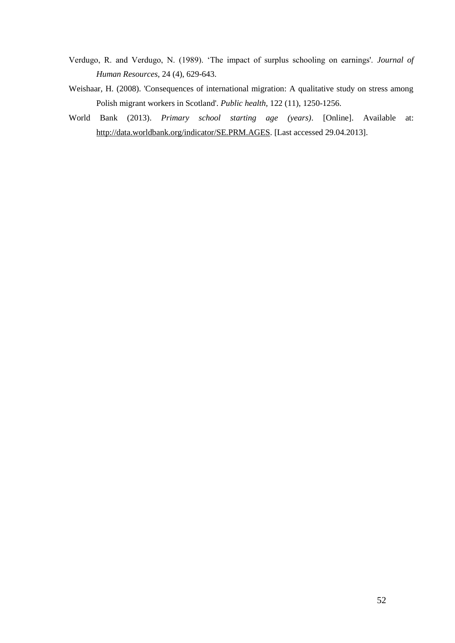- Verdugo, R. and Verdugo, N. (1989). 'The impact of surplus schooling on earnings'. *Journal of Human Resources,* 24 (4), 629-643.
- Weishaar, H. (2008). 'Consequences of international migration: A qualitative study on stress among Polish migrant workers in Scotland'. *Public health,* 122 (11)*,* 1250-1256.
- World Bank (2013). *Primary school starting age (years)*. [Online]. Available at: http://data.worldbank.org/indicator/SE.PRM.AGES. [Last accessed 29.04.2013].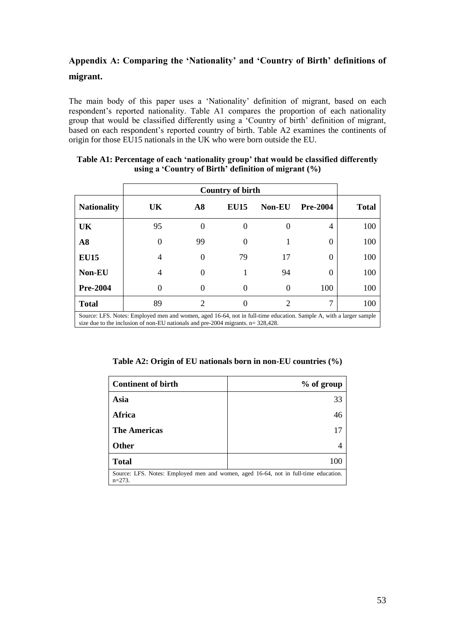# **Appendix A: Comparing the 'Nationality' and 'Country of Birth' definitions of migrant.**

The main body of this paper uses a 'Nationality' definition of migrant, based on each respondent's reported nationality. Table A1 compares the proportion of each nationality group that would be classified differently using a 'Country of birth' definition of migrant, based on each respondent's reported country of birth. Table A2 examines the continents of origin for those EU15 nationals in the UK who were born outside the EU.

|                                                                                                                                                                                                            | <b>Country of birth</b> |                             |             |               |                 |              |
|------------------------------------------------------------------------------------------------------------------------------------------------------------------------------------------------------------|-------------------------|-----------------------------|-------------|---------------|-----------------|--------------|
| <b>Nationality</b>                                                                                                                                                                                         | UK                      | $\bf{A8}$                   | <b>EU15</b> | <b>Non-EU</b> | <b>Pre-2004</b> | <b>Total</b> |
| UK                                                                                                                                                                                                         | 95                      | $\Omega$                    |             |               | 4               | 100          |
| A8                                                                                                                                                                                                         | $\theta$                | 99                          |             |               | 0               | 100          |
| <b>EU15</b>                                                                                                                                                                                                | 4                       | $\Omega$                    | 79          | 17            | 0               | 100          |
| Non-EU                                                                                                                                                                                                     | 4                       |                             |             | 94            | 0               | 100          |
| <b>Pre-2004</b>                                                                                                                                                                                            | 0                       | $\Omega$                    |             | $\Omega$      | 100             | 100          |
| <b>Total</b>                                                                                                                                                                                               | 89                      | $\mathcal{D}_{\mathcal{L}}$ |             | 2             | 7               | 100          |
| Source: LFS. Notes: Employed men and women, aged 16-64, not in full-time education. Sample A, with a larger sample<br>size due to the inclusion of non-EU nationals and pre-2004 migrants. $n = 328,428$ . |                         |                             |             |               |                 |              |

### **Table A1: Percentage of each 'nationality group' that would be classified differently using a 'Country of Birth' definition of migrant (%)**

**Table A2: Origin of EU nationals born in non-EU countries (%)**

| <b>Continent of birth</b>                                                                        | % of group |  |  |  |
|--------------------------------------------------------------------------------------------------|------------|--|--|--|
| Asia                                                                                             | 33         |  |  |  |
| Africa                                                                                           | 46         |  |  |  |
| <b>The Americas</b>                                                                              | 17         |  |  |  |
| <b>Other</b>                                                                                     |            |  |  |  |
| <b>Total</b>                                                                                     | 100        |  |  |  |
| Source: LFS. Notes: Employed men and women, aged 16-64, not in full-time education.<br>$n=273$ . |            |  |  |  |
|                                                                                                  |            |  |  |  |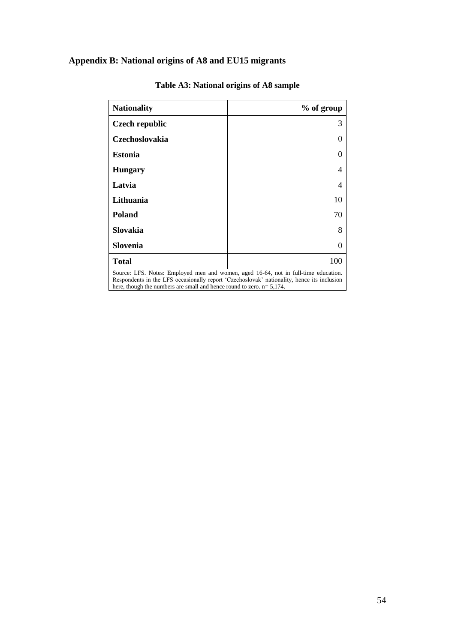# **Appendix B: National origins of A8 and EU15 migrants**

| <b>Nationality</b>                                                                                                                                                                                                                                             | % of group |  |  |
|----------------------------------------------------------------------------------------------------------------------------------------------------------------------------------------------------------------------------------------------------------------|------------|--|--|
| <b>Czech republic</b>                                                                                                                                                                                                                                          | 3          |  |  |
| <b>Czechoslovakia</b>                                                                                                                                                                                                                                          | $\Omega$   |  |  |
| <b>Estonia</b>                                                                                                                                                                                                                                                 | $\theta$   |  |  |
| <b>Hungary</b>                                                                                                                                                                                                                                                 | 4          |  |  |
| Latvia                                                                                                                                                                                                                                                         | 4          |  |  |
| Lithuania                                                                                                                                                                                                                                                      | 10         |  |  |
| <b>Poland</b>                                                                                                                                                                                                                                                  | 70         |  |  |
| Slovakia                                                                                                                                                                                                                                                       | 8          |  |  |
| Slovenia                                                                                                                                                                                                                                                       | $\theta$   |  |  |
| <b>Total</b>                                                                                                                                                                                                                                                   | 100        |  |  |
| Source: LFS. Notes: Employed men and women, aged 16-64, not in full-time education.<br>Respondents in the LFS occasionally report 'Czechoslovak' nationality, hence its inclusion<br>here, though the numbers are small and hence round to zero. $n = 5,174$ . |            |  |  |

# **Table A3: National origins of A8 sample**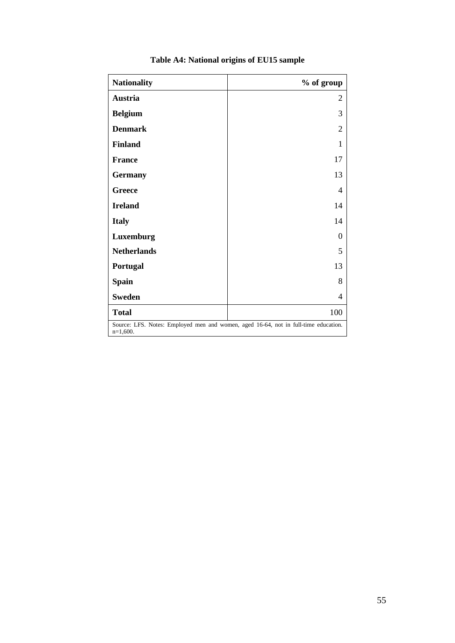| <b>Nationality</b>                                                                                | % of group |  |  |
|---------------------------------------------------------------------------------------------------|------------|--|--|
| Austria                                                                                           | 2          |  |  |
| <b>Belgium</b>                                                                                    | 3          |  |  |
| <b>Denmark</b>                                                                                    | 2          |  |  |
| <b>Finland</b>                                                                                    | 1          |  |  |
| <b>France</b>                                                                                     | 17         |  |  |
| <b>Germany</b>                                                                                    | 13         |  |  |
| <b>Greece</b>                                                                                     | 4          |  |  |
| <b>Ireland</b>                                                                                    | 14         |  |  |
| <b>Italy</b>                                                                                      | 14         |  |  |
| Luxemburg                                                                                         | 0          |  |  |
| <b>Netherlands</b>                                                                                | 5          |  |  |
| Portugal                                                                                          | 13         |  |  |
| <b>Spain</b>                                                                                      | 8          |  |  |
| <b>Sweden</b>                                                                                     | 4          |  |  |
| <b>Total</b>                                                                                      | 100        |  |  |
| Source: LFS. Notes: Employed men and women, aged 16-64, not in full-time education.<br>$n=1,600.$ |            |  |  |

# **Table A4: National origins of EU15 sample**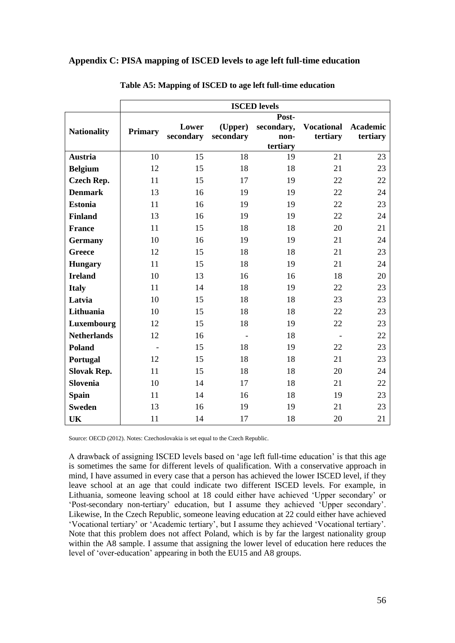### **Appendix C: PISA mapping of ISCED levels to age left full-time education**

|                    | <b>ISCED</b> levels      |           |                |            |                          |                 |
|--------------------|--------------------------|-----------|----------------|------------|--------------------------|-----------------|
|                    | Post-                    |           |                |            |                          |                 |
| <b>Nationality</b> | <b>Primary</b>           | Lower     | (Upper)        | secondary, | <b>Vocational</b>        | <b>Academic</b> |
|                    |                          | secondary | secondary      | non-       | tertiary                 | tertiary        |
|                    |                          |           |                | tertiary   |                          |                 |
| <b>Austria</b>     | 10                       | 15        | 18             | 19         | 21                       | 23              |
| <b>Belgium</b>     | 12                       | 15        | 18             | 18         | 21                       | 23              |
| <b>Czech Rep.</b>  | 11                       | 15        | 17             | 19         | 22                       | 22              |
| <b>Denmark</b>     | 13                       | 16        | 19             | 19         | 22                       | 24              |
| <b>Estonia</b>     | 11                       | 16        | 19             | 19         | 22                       | 23              |
| <b>Finland</b>     | 13                       | 16        | 19             | 19         | 22                       | 24              |
| <b>France</b>      | 11                       | 15        | 18             | 18         | 20                       | 21              |
| <b>Germany</b>     | 10                       | 16        | 19             | 19         | 21                       | 24              |
| <b>Greece</b>      | 12                       | 15        | 18             | 18         | 21                       | 23              |
| <b>Hungary</b>     | 11                       | 15        | 18             | 19         | 21                       | 24              |
| <b>Ireland</b>     | 10                       | 13        | 16             | 16         | 18                       | 20              |
| <b>Italy</b>       | 11                       | 14        | 18             | 19         | 22                       | 23              |
| Latvia             | 10                       | 15        | 18             | 18         | 23                       | 23              |
| Lithuania          | 10                       | 15        | 18             | 18         | 22                       | 23              |
| Luxembourg         | 12                       | 15        | 18             | 19         | 22                       | 23              |
| <b>Netherlands</b> | 12                       | 16        | $\blacksquare$ | 18         | $\overline{\phantom{a}}$ | 22              |
| <b>Poland</b>      | $\overline{\phantom{a}}$ | 15        | 18             | 19         | 22                       | 23              |
| Portugal           | 12                       | 15        | 18             | 18         | 21                       | 23              |
| <b>Slovak Rep.</b> | 11                       | 15        | 18             | 18         | 20                       | 24              |
| <b>Slovenia</b>    | 10                       | 14        | 17             | 18         | 21                       | 22              |
| <b>Spain</b>       | 11                       | 14        | 16             | 18         | 19                       | 23              |
| <b>Sweden</b>      | 13                       | 16        | 19             | 19         | 21                       | 23              |
| UK                 | 11                       | 14        | 17             | 18         | 20                       | 21              |

**Table A5: Mapping of ISCED to age left full-time education**

Source: OECD (2012). Notes: Czechoslovakia is set equal to the Czech Republic.

A drawback of assigning ISCED levels based on 'age left full-time education' is that this age is sometimes the same for different levels of qualification. With a conservative approach in mind, I have assumed in every case that a person has achieved the lower ISCED level, if they leave school at an age that could indicate two different ISCED levels. For example, in Lithuania, someone leaving school at 18 could either have achieved 'Upper secondary' or 'Post-secondary non-tertiary' education, but I assume they achieved 'Upper secondary'. Likewise, In the Czech Republic, someone leaving education at 22 could either have achieved 'Vocational tertiary' or 'Academic tertiary', but I assume they achieved 'Vocational tertiary'. Note that this problem does not affect Poland, which is by far the largest nationality group within the A8 sample. I assume that assigning the lower level of education here reduces the level of 'over-education' appearing in both the EU15 and A8 groups.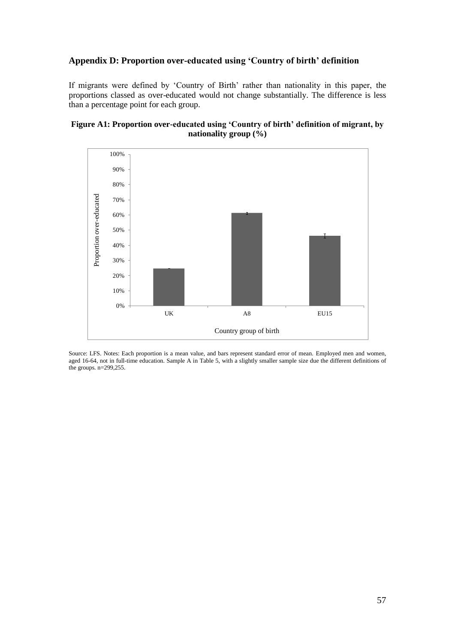### **Appendix D: Proportion over-educated using 'Country of birth' definition**

If migrants were defined by 'Country of Birth' rather than nationality in this paper, the proportions classed as over-educated would not change substantially. The difference is less than a percentage point for each group.

### **Figure A1: Proportion over-educated using 'Country of birth' definition of migrant, by nationality group (%)**



Source: LFS. Notes: Each proportion is a mean value, and bars represent standard error of mean. Employed men and women, aged 16-64, not in full-time education. Sample A in Table 5, with a slightly smaller sample size due the different definitions of the groups. n=299,255.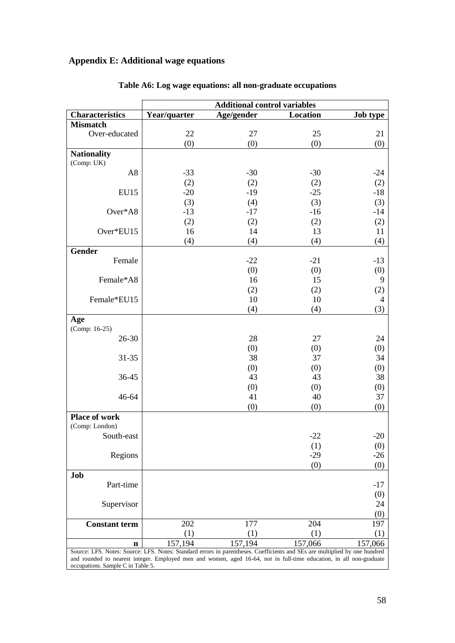# **Appendix E: Additional wage equations**

|                                                                                                                            | <b>Additional control variables</b> |            |          |                 |  |  |
|----------------------------------------------------------------------------------------------------------------------------|-------------------------------------|------------|----------|-----------------|--|--|
| <b>Characteristics</b>                                                                                                     | Year/quarter                        | Age/gender | Location | <b>Job type</b> |  |  |
| <b>Mismatch</b>                                                                                                            |                                     |            |          |                 |  |  |
| Over-educated                                                                                                              | 22                                  | 27         | 25       | 21              |  |  |
|                                                                                                                            | (0)                                 | (0)        | (0)      | (0)             |  |  |
| <b>Nationality</b>                                                                                                         |                                     |            |          |                 |  |  |
| (Comp: UK)                                                                                                                 |                                     |            |          |                 |  |  |
| A <sub>8</sub>                                                                                                             | $-33$                               | $-30$      | $-30$    | $-24$           |  |  |
|                                                                                                                            | (2)                                 | (2)        | (2)      | (2)             |  |  |
| <b>EU15</b>                                                                                                                | $-20$                               | $-19$      | $-25$    | $-18$           |  |  |
|                                                                                                                            | (3)                                 | (4)        | (3)      | (3)             |  |  |
| Over*A8                                                                                                                    | $-13$                               | $-17$      | $-16$    | $-14$           |  |  |
|                                                                                                                            | (2)                                 | (2)        | (2)      | (2)             |  |  |
| Over*EU15                                                                                                                  | 16                                  | 14         | 13       | 11              |  |  |
|                                                                                                                            | (4)                                 | (4)        | (4)      | (4)             |  |  |
| <b>Gender</b>                                                                                                              |                                     |            |          |                 |  |  |
| Female                                                                                                                     |                                     | $-22$      | $-21$    | $-13$           |  |  |
|                                                                                                                            |                                     | (0)        | (0)      | (0)             |  |  |
| Female*A8                                                                                                                  |                                     | 16         | 15       | 9               |  |  |
|                                                                                                                            |                                     | (2)        | (2)      | (2)             |  |  |
| Female*EU15                                                                                                                |                                     | 10         | 10       | 4               |  |  |
|                                                                                                                            |                                     | (4)        | (4)      | (3)             |  |  |
| Age                                                                                                                        |                                     |            |          |                 |  |  |
| (Comp: 16-25)                                                                                                              |                                     |            |          |                 |  |  |
| 26-30                                                                                                                      |                                     | 28         | 27       | 24              |  |  |
|                                                                                                                            |                                     | (0)        | (0)      | (0)             |  |  |
| $31 - 35$                                                                                                                  |                                     | 38         | 37       | 34              |  |  |
|                                                                                                                            |                                     | (0)        | (0)      | (0)             |  |  |
| 36-45                                                                                                                      |                                     | 43         | 43       | 38              |  |  |
|                                                                                                                            |                                     | (0)        | (0)      | (0)             |  |  |
| 46-64                                                                                                                      |                                     | 41         | 40       | 37              |  |  |
|                                                                                                                            |                                     | (0)        | (0)      | (0)             |  |  |
| <b>Place of work</b>                                                                                                       |                                     |            |          |                 |  |  |
| (Comp: London)                                                                                                             |                                     |            |          |                 |  |  |
| South-east                                                                                                                 |                                     |            | $-22$    | $-20$           |  |  |
|                                                                                                                            |                                     |            | (1)      | (0)             |  |  |
| Regions                                                                                                                    |                                     |            | $-29$    | $-26$           |  |  |
|                                                                                                                            |                                     |            | (0)      | (0)             |  |  |
| Job                                                                                                                        |                                     |            |          |                 |  |  |
| Part-time                                                                                                                  |                                     |            |          | $-17$           |  |  |
|                                                                                                                            |                                     |            |          | (0)             |  |  |
| Supervisor                                                                                                                 |                                     |            |          | 24              |  |  |
|                                                                                                                            |                                     |            |          | (0)             |  |  |
| <b>Constant term</b>                                                                                                       | 202                                 | 177        | 204      | 197             |  |  |
|                                                                                                                            | (1)                                 | (1)        | (1)      | (1)             |  |  |
| n                                                                                                                          | 157,194                             | 157,194    | 157,066  | 157,066         |  |  |
| Source: LFS. Notes: Source: LFS. Notes: Standard errors in parentheses. Coefficients and SEs are multiplied by one hundred |                                     |            |          |                 |  |  |

# **Table A6: Log wage equations: all non-graduate occupations**

and rounded to nearest integer. Employed men and women, aged 16-64, not in full-time education, in all non-graduate occupations. Sample C in Table 5.